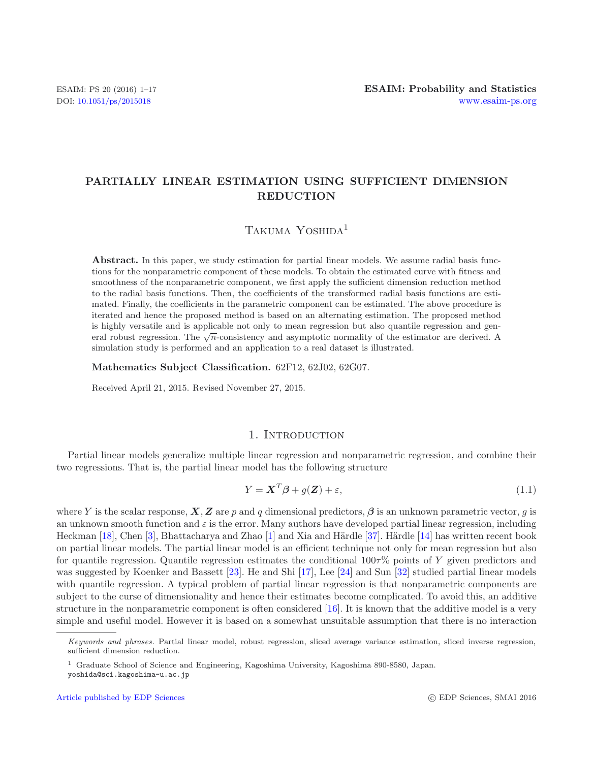# **PARTIALLY LINEAR ESTIMATION USING SUFFICIENT DIMENSION REDUCTION**

# TAKUMA YOSHIDA<sup>1</sup>

Abstract. In this paper, we study estimation for partial linear models. We assume radial basis functions for the nonparametric component of these models. To obtain the estimated curve with fitness and smoothness of the nonparametric component, we first apply the sufficient dimension reduction method to the radial basis functions. Then, the coefficients of the transformed radial basis functions are estimated. Finally, the coefficients in the parametric component can be estimated. The above procedure is iterated and hence the proposed method is based on an alternating estimation. The proposed method is highly versatile and is applicable not only to mean regression but also quantile regression and general robust regression. The  $\sqrt{n}$ -consistency and asymptotic normality of the estimator are derived. A simulation study is performed and an application to a real dataset is illustrated.

**Mathematics Subject Classification.** 62F12, 62J02, 62G07.

Received April 21, 2015. Revised November 27, 2015.

## 1. INTRODUCTION

Partial linear models generalize multiple linear regression and nonparametric regression, and combine their two regressions. That is, the partial linear model has the following structure

<span id="page-0-0"></span>
$$
Y = \mathbf{X}^T \boldsymbol{\beta} + g(\mathbf{Z}) + \varepsilon,\tag{1.1}
$$

where Y is the scalar response,  $\bm{X}, \bm{Z}$  are p and q dimensional predictors,  $\bm{\beta}$  is an unknown parametric vector, q is an unknown smooth function and  $\varepsilon$  is the error. Many authors have developed partial linear regression, including Heckman [\[18](#page-16-0)], Chen [\[3\]](#page-16-1), Bhattacharya and Zhao [\[1\]](#page-16-2) and Xia and Härdle [\[37](#page-16-3)]. Härdle [\[14\]](#page-16-4) has written recent book on partial linear models. The partial linear model is an efficient technique not only for mean regression but also for quantile regression. Quantile regression estimates the conditional  $100\tau\%$  points of Y given predictors and was suggested by Koenker and Bassett [\[23\]](#page-16-5). He and Shi [\[17](#page-16-6)], Lee [\[24\]](#page-16-7) and Sun [\[32\]](#page-16-8) studied partial linear models with quantile regression. A typical problem of partial linear regression is that nonparametric components are subject to the curse of dimensionality and hence their estimates become complicated. To avoid this, an additive structure in the nonparametric component is often considered [\[16\]](#page-16-9). It is known that the additive model is a very simple and useful model. However it is based on a somewhat unsuitable assumption that there is no interaction

*Keywords and phrases.* Partial linear model, robust regression, sliced average variance estimation, sliced inverse regression, sufficient dimension reduction.

<sup>1</sup> Graduate School of Science and Engineering, Kagoshima University, Kagoshima 890-8580, Japan. yoshida@sci.kagoshima-u.ac.jp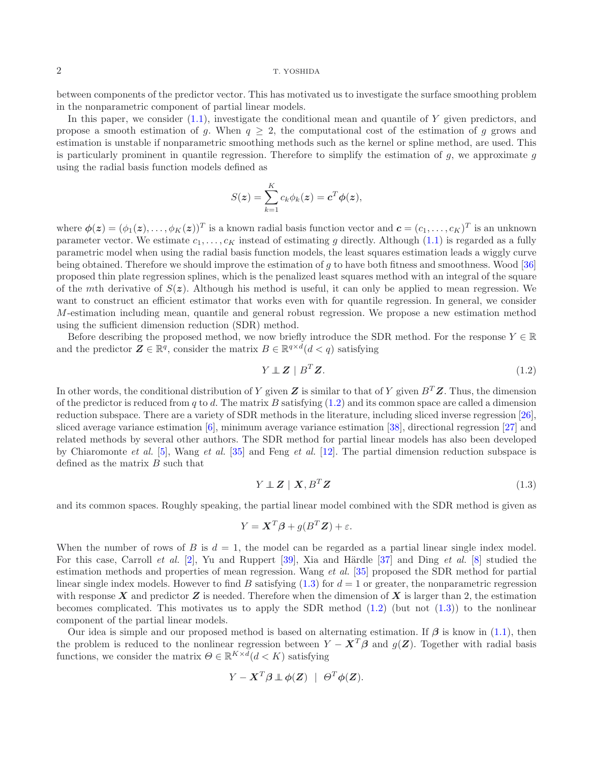between components of the predictor vector. This has motivated us to investigate the surface smoothing problem in the nonparametric component of partial linear models.

In this paper, we consider  $(1.1)$ , investigate the conditional mean and quantile of Y given predictors, and propose a smooth estimation of g. When  $q \geq 2$ , the computational cost of the estimation of g grows and estimation is unstable if nonparametric smoothing methods such as the kernel or spline method, are used. This is particularly prominent in quantile regression. Therefore to simplify the estimation of  $q$ , we approximate  $q$ using the radial basis function models defined as

$$
S(z) = \sum_{k=1}^{K} c_k \phi_k(z) = \mathbf{c}^T \phi(z),
$$

where  $\phi(z) = (\phi_1(z), \ldots, \phi_K(z))^T$  is a known radial basis function vector and  $\boldsymbol{c} = (c_1, \ldots, c_K)^T$  is an unknown parameter vector. We estimate  $c_1,\ldots,c_K$  instead of estimating g directly. Although [\(1.1\)](#page-0-0) is regarded as a fully parametric model when using the radial basis function models, the least squares estimation leads a wiggly curve being obtained. Therefore we should improve the estimation of g to have both fitness and smoothness. Wood [\[36\]](#page-16-10) proposed thin plate regression splines, which is the penalized least squares method with an integral of the square of the mth derivative of  $S(z)$ . Although his method is useful, it can only be applied to mean regression. We want to construct an efficient estimator that works even with for quantile regression. In general, we consider M-estimation including mean, quantile and general robust regression. We propose a new estimation method using the sufficient dimension reduction (SDR) method.

Before describing the proposed method, we now briefly introduce the SDR method. For the response  $Y \in \mathbb{R}$ and the predictor  $\mathbf{Z} \in \mathbb{R}^q$ , consider the matrix  $B \in \mathbb{R}^{q \times d}$  ( $d < q$ ) satisfying

<span id="page-1-0"></span>
$$
Y \perp Z \mid B^T Z. \tag{1.2}
$$

In other words, the conditional distribution of Y given  $Z$  is similar to that of Y given  $B<sup>T</sup>Z$ . Thus, the dimension of the predictor is reduced from q to d. The matrix B satisfying  $(1.2)$  and its common space are called a dimension reduction subspace. There are a variety of SDR methods in the literature, including sliced inverse regression [\[26](#page-16-11)], sliced average variance estimation [\[6\]](#page-16-12), minimum average variance estimation [\[38](#page-16-13)], directional regression [\[27\]](#page-16-14) and related methods by several other authors. The SDR method for partial linear models has also been developed by Chiaromonte *et al.* [\[5\]](#page-16-15), Wang *et al.* [\[35](#page-16-16)] and Feng *et al.* [\[12\]](#page-16-17). The partial dimension reduction subspace is defined as the matrix B such that

$$
Y \perp Z \mid X, B^T Z \tag{1.3}
$$

and its common spaces. Roughly speaking, the partial linear model combined with the SDR method is given as

<span id="page-1-1"></span>
$$
Y = \mathbf{X}^T \boldsymbol{\beta} + g(B^T \mathbf{Z}) + \varepsilon.
$$

When the number of rows of B is  $d = 1$ , the model can be regarded as a partial linear single index model. For this case, Carroll *et al.* [\[2\]](#page-16-18), Yu and Ruppert [\[39\]](#page-16-19), Xia and Härdle [\[37\]](#page-16-3) and Ding *et al.* [\[8](#page-16-20)] studied the estimation methods and properties of mean regression. Wang *et al.* [\[35\]](#page-16-16) proposed the SDR method for partial linear single index models. However to find B satisfying  $(1.3)$  for  $d = 1$  or greater, the nonparametric regression with response  $X$  and predictor  $Z$  is needed. Therefore when the dimension of  $X$  is larger than 2, the estimation becomes complicated. This motivates us to apply the SDR method  $(1.2)$  (but not  $(1.3)$ ) to the nonlinear component of the partial linear models.

Our idea is simple and our proposed method is based on alternating estimation. If *β* is know in [\(1.1\)](#page-0-0), then the problem is reduced to the nonlinear regression between  $Y - X^T \beta$  and  $g(Z)$ . Together with radial basis functions, we consider the matrix  $\Theta \in \mathbb{R}^{K \times d} (d \leq K)$  satisfying

$$
Y - \mathbf{X}^T \boldsymbol{\beta} \perp \boldsymbol{\phi}(\mathbf{Z}) \mid \Theta^T \boldsymbol{\phi}(\mathbf{Z}).
$$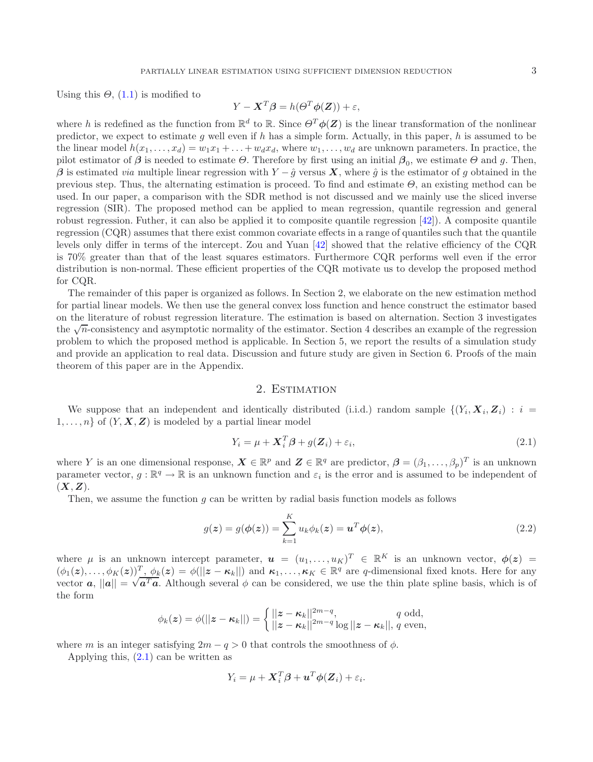Using this  $\Theta$ , [\(1.1\)](#page-0-0) is modified to

$$
Y - \mathbf{X}^T \boldsymbol{\beta} = h(\Theta^T \boldsymbol{\phi}(\mathbf{Z})) + \varepsilon,
$$

where h is redefined as the function from  $\mathbb{R}^d$  to  $\mathbb{R}$ . Since  $\Theta^T \phi(Z)$  is the linear transformation of the nonlinear predictor, we expect to estimate q well even if h has a simple form. Actually, in this paper, h is assumed to be the linear model  $h(x_1,\ldots,x_d) = w_1x_1+\ldots+w_dx_d$ , where  $w_1,\ldots,w_d$  are unknown parameters. In practice, the pilot estimator of  $\beta$  is needed to estimate  $\Theta$ . Therefore by first using an initial  $\beta_0$ , we estimate  $\Theta$  and g. Then,  $\beta$  is estimated *via* multiple linear regression with  $Y - \hat{g}$  versus  $\vec{X}$ , where  $\hat{g}$  is the estimator of g obtained in the previous step. Thus, the alternating estimation is proceed. To find and estimate  $\Theta$ , an existing method can be used. In our paper, a comparison with the SDR method is not discussed and we mainly use the sliced inverse regression (SIR). The proposed method can be applied to mean regression, quantile regression and general robust regression. Futher, it can also be applied it to composite quantile regression  $[42]$ ). A composite quantile regression (CQR) assumes that there exist common covariate effects in a range of quantiles such that the quantile levels only differ in terms of the intercept. Zou and Yuan [\[42\]](#page-16-21) showed that the relative efficiency of the CQR is 70% greater than that of the least squares estimators. Furthermore CQR performs well even if the error distribution is non-normal. These efficient properties of the CQR motivate us to develop the proposed method for CQR.

The remainder of this paper is organized as follows. In Section 2, we elaborate on the new estimation method for partial linear models. We then use the general convex loss function and hence construct the estimator based on the literature of robust regression literature. The estimation is based on alternation. Section 3 investigates the  $\sqrt{n}$ -consistency and asymptotic normality of the estimator. Section 4 describes an example of the regression problem to which the proposed method is applicable. In Section 5, we report the results of a simulation study and provide an application to real data. Discussion and future study are given in Section 6. Proofs of the main theorem of this paper are in the Appendix.

# 2. ESTIMATION

We suppose that an independent and identically distributed (i.i.d.) random sample  $\{(Y_i, \mathbf{X}_i, \mathbf{Z}_i) : i =$  $1, \ldots, n$  of  $(Y, X, Z)$  is modeled by a partial linear model

<span id="page-2-0"></span>
$$
Y_i = \mu + \mathbf{X}_i^T \boldsymbol{\beta} + g(\mathbf{Z}_i) + \varepsilon_i,\tag{2.1}
$$

where Y is an one dimensional response,  $\mathbf{X} \in \mathbb{R}^p$  and  $\mathbf{Z} \in \mathbb{R}^q$  are predictor,  $\boldsymbol{\beta} = (\beta_1, \ldots, \beta_p)^T$  is an unknown parameter vector,  $g : \mathbb{R}^q \to \mathbb{R}$  is an unknown function and  $\varepsilon_i$  is the error and is assumed to be independent of  $(X, Z)$ .

<span id="page-2-1"></span>Then, we assume the function  $q$  can be written by radial basis function models as follows

$$
g(\mathbf{z}) = g(\boldsymbol{\phi}(\mathbf{z})) = \sum_{k=1}^{K} u_k \phi_k(\mathbf{z}) = \mathbf{u}^T \boldsymbol{\phi}(\mathbf{z}),
$$
\n(2.2)

where  $\mu$  is an unknown intercept parameter,  $\mathbf{u} = (u_1, \ldots, u_K)^T \in \mathbb{R}^K$  is an unknown vector,  $\phi(\mathbf{z}) =$  $(\phi_1(z),\ldots,\phi_K(z))^T$ ,  $\phi_k(z) = \phi(||z - \kappa_k||)$  and  $\kappa_1,\ldots,\kappa_K \in \mathbb{R}^q$  are q-dimensional fixed knots. Here for any  $(\varphi_1(z), \ldots, \varphi_K(z))^2$ ,  $\varphi_k(z) = \varphi(||z - \kappa_k||)$  and  $\kappa_1, \ldots, \kappa_K \in \mathbb{R}^4$  are q-dimensional fixed knots. Here for any vector  $\boldsymbol{a}, ||\boldsymbol{a}|| = \sqrt{\boldsymbol{a}^T \boldsymbol{a}}$ . Although several  $\phi$  can be considered, we use the thin pla the form

$$
\phi_k(\boldsymbol{z}) = \phi(||\boldsymbol{z} - \boldsymbol{\kappa}_k||) = \begin{cases} ||\boldsymbol{z} - \boldsymbol{\kappa}_k||^{2m-q}, & q \text{ odd}, \\ ||\boldsymbol{z} - \boldsymbol{\kappa}_k||^{2m-q} \log ||\boldsymbol{z} - \boldsymbol{\kappa}_k||, & q \text{ even}, \end{cases}
$$

where m is an integer satisfying  $2m - q > 0$  that controls the smoothness of  $\phi$ .

Applying this, [\(2.1\)](#page-2-0) can be written as

$$
Y_i = \mu + \boldsymbol{X}_i^T \boldsymbol{\beta} + \boldsymbol{u}^T \boldsymbol{\phi}(\boldsymbol{Z}_i) + \varepsilon_i.
$$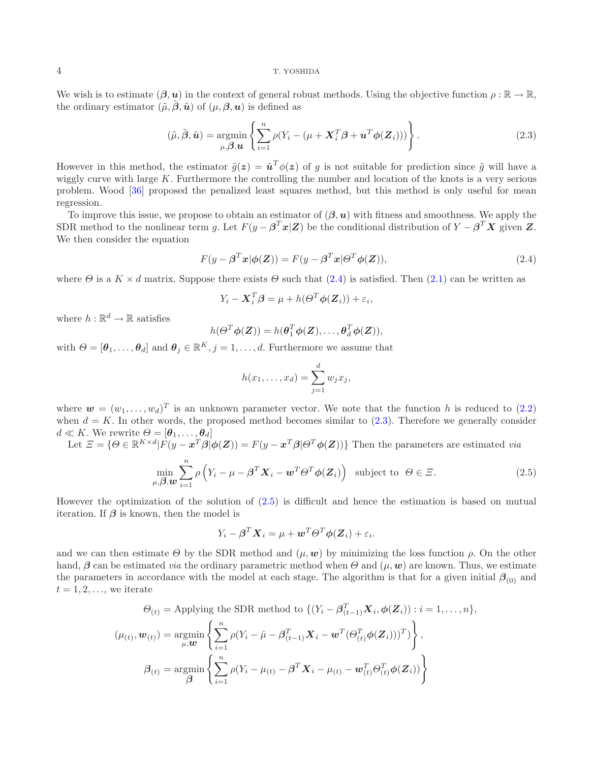We wish is to estimate  $(\beta, u)$  in the context of general robust methods. Using the objective function  $\rho : \mathbb{R} \to \mathbb{R}$ , the ordinary estimator  $(\tilde{\mu}, \tilde{\boldsymbol{\beta}}, \tilde{\boldsymbol{u}})$  of  $(\mu, \boldsymbol{\beta}, \boldsymbol{u})$  is defined as

$$
(\tilde{\mu}, \tilde{\boldsymbol{\beta}}, \tilde{\boldsymbol{u}}) = \underset{\mu, \boldsymbol{\beta}, \boldsymbol{u}}{\operatorname{argmin}} \left\{ \sum_{i=1}^{n} \rho (Y_i - (\mu + \boldsymbol{X}_i^T \boldsymbol{\beta} + \boldsymbol{u}^T \boldsymbol{\phi}(\boldsymbol{Z}_i))) \right\}.
$$
 (2.3)

<span id="page-3-1"></span>However in this method, the estimator  $\tilde{q}(z) = \tilde{u}^T \phi(z)$  of q is not suitable for prediction since  $\tilde{q}$  will have a wiggly curve with large K. Furthermore the controlling the number and location of the knots is a very serious problem. Wood [\[36](#page-16-10)] proposed the penalized least squares method, but this method is only useful for mean regression.

To improve this issue, we propose to obtain an estimator of (*β*,*u*) with fitness and smoothness. We apply the SDR method to the nonlinear term g. Let  $F(y - \beta^T x | \mathbf{Z})$  be the conditional distribution of  $Y - \beta^T X$  given  $\mathbf{Z}$ . We then consider the equation

<span id="page-3-0"></span>
$$
F(y - \beta^T x | \phi(Z)) = F(y - \beta^T x | \Theta^T \phi(Z)),
$$
\n(2.4)

where  $\Theta$  is a  $K \times d$  matrix. Suppose there exists  $\Theta$  such that [\(2.4\)](#page-3-0) is satisfied. Then [\(2.1\)](#page-2-0) can be written as

$$
Y_i - \boldsymbol{X}_i^T \boldsymbol{\beta} = \mu + h(\boldsymbol{\Theta}^T \boldsymbol{\phi}(\boldsymbol{Z}_i)) + \varepsilon_i,
$$

where  $h : \mathbb{R}^d \to \mathbb{R}$  satisfies

$$
h(\Theta^T \phi(\mathbf{Z})) = h(\boldsymbol{\theta}_1^T \phi(\mathbf{Z}), \dots, \boldsymbol{\theta}_d^T \phi(\mathbf{Z})),
$$

with  $\Theta = [\theta_1, \ldots, \theta_d]$  and  $\theta_j \in \mathbb{R}^K$ ,  $j = 1, \ldots, d$ . Furthermore we assume that

$$
h(x_1,\ldots,x_d)=\sum_{j=1}^d w_j x_j,
$$

where  $\mathbf{w} = (w_1, \ldots, w_d)^T$  is an unknown parameter vector. We note that the function h is reduced to [\(2.2\)](#page-2-1) when  $d = K$ . In other words, the proposed method becomes similar to  $(2.3)$ . Therefore we generally consider  $d \ll K$ . We rewrite  $\Theta = [\boldsymbol{\theta}_1, \dots, \boldsymbol{\theta}_d]$ 

<span id="page-3-2"></span>Let  $\mathcal{Z} = \{ \Theta \in \mathbb{R}^{K \times d} | F(y - x^T \beta | \phi(Z)) = F(y - x^T \beta | \Theta^T \phi(Z)) \}$  Then the parameters are estimated *via* 

$$
\min_{\mu,\beta,\boldsymbol{w}}\sum_{i=1}^{n}\rho\left(Y_{i}-\mu-\boldsymbol{\beta}^{T}\boldsymbol{X}_{i}-\boldsymbol{w}^{T}\boldsymbol{\Theta}^{T}\boldsymbol{\phi}(\boldsymbol{Z}_{i})\right) \text{ subject to } \boldsymbol{\Theta}\in\Xi.
$$
\n(2.5)

However the optimization of the solution of [\(2.5\)](#page-3-2) is difficult and hence the estimation is based on mutual iteration. If  $\beta$  is known, then the model is

$$
Y_i - \boldsymbol{\beta}^T \boldsymbol{X}_i = \mu + \boldsymbol{w}^T \boldsymbol{\Theta}^T \boldsymbol{\phi}(\boldsymbol{Z}_i) + \varepsilon_i.
$$

and we can then estimate  $\Theta$  by the SDR method and  $(\mu, \mathbf{w})$  by minimizing the loss function  $\rho$ . On the other hand,  $\beta$  can be estimated *via* the ordinary parametric method when  $\Theta$  and  $(\mu, \mathbf{w})$  are known. Thus, we estimate the parameters in accordance with the model at each stage. The algorithm is that for a given initial  $\beta_{(0)}$  and  $t = 1, 2, \ldots$ , we iterate

$$
\Theta_{(t)} = \text{Applying the SDR method to } \{ (Y_i - \boldsymbol{\beta}_{(t-1)}^T \mathbf{X}_i, \boldsymbol{\phi}(\mathbf{Z}_i)) : i = 1, ..., n \},
$$

$$
(\mu_{(t)}, \mathbf{w}_{(t)}) = \underset{\mu, \mathbf{w}}{\text{argmin}} \left\{ \sum_{i=1}^n \rho (Y_i - \hat{\mu} - \boldsymbol{\beta}_{(t-1)}^T \mathbf{X}_i - \mathbf{w}^T (\boldsymbol{\Theta}_{(t)}^T \boldsymbol{\phi}(\mathbf{Z}_i)))^T ) \right\},
$$

$$
\boldsymbol{\beta}_{(t)} = \underset{\boldsymbol{\beta}}{\text{argmin}} \left\{ \sum_{i=1}^n \rho (Y_i - \mu_{(t)} - \boldsymbol{\beta}^T \mathbf{X}_i - \mu_{(t)} - \mathbf{w}_{(t)}^T \boldsymbol{\Theta}_{(t)}^T \boldsymbol{\phi}(\mathbf{Z}_i)) \right\}
$$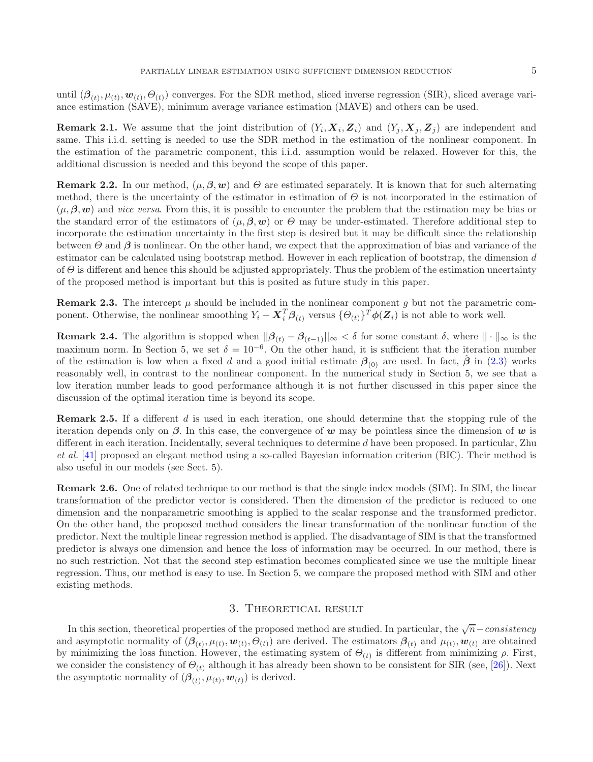until  $(\beta_{(t)}, \mu_{(t)}, \omega_{(t)}, \Theta_{(t)})$  converges. For the SDR method, sliced inverse regression (SIR), sliced average variance estimation (SAVE), minimum average variance estimation (MAVE) and others can be used.

**Remark 2.1.** We assume that the joint distribution of  $(Y_i, X_i, Z_i)$  and  $(Y_i, X_j, Z_j)$  are independent and same. This i.i.d. setting is needed to use the SDR method in the estimation of the nonlinear component. In the estimation of the parametric component, this i.i.d. assumption would be relaxed. However for this, the additional discussion is needed and this beyond the scope of this paper.

**Remark 2.2.** In our method,  $(\mu, \beta, w)$  and  $\Theta$  are estimated separately. It is known that for such alternating method, there is the uncertainty of the estimator in estimation of  $\Theta$  is not incorporated in the estimation of  $(\mu, \beta, \mathbf{w})$  and *vice versa*. From this, it is possible to encounter the problem that the estimation may be bias or the standard error of the estimators of  $(\mu, \beta, w)$  or  $\Theta$  may be under-estimated. Therefore additional step to incorporate the estimation uncertainty in the first step is desired but it may be difficult since the relationship between  $\Theta$  and  $\beta$  is nonlinear. On the other hand, we expect that the approximation of bias and variance of the estimator can be calculated using bootstrap method. However in each replication of bootstrap, the dimension d of  $\Theta$  is different and hence this should be adjusted appropriately. Thus the problem of the estimation uncertainty of the proposed method is important but this is posited as future study in this paper.

**Remark 2.3.** The intercept  $\mu$  should be included in the nonlinear component g but not the parametric component. Otherwise, the nonlinear smoothing  $Y_i - \boldsymbol{X}_i^T \boldsymbol{\beta}_{(t)}$  versus  $\{\boldsymbol{\Theta}_{(t)}\}^T \boldsymbol{\phi}(\boldsymbol{Z}_i)$  is not able to work well.

**Remark 2.4.** The algorithm is stopped when  $||\beta_{(t)} - \beta_{(t-1)}||_{\infty} < \delta$  for some constant  $\delta$ , where  $|| \cdot ||_{\infty}$  is the maximum norm. In Section 5, we set  $\delta = 10^{-6}$ . On the other hand, it is sufficient that the iteration number of the estimation is low when a fixed d and a good initial estimate  $\beta_{(0)}$  are used. In fact,  $\beta$  in [\(2.3\)](#page-3-1) works reasonably well, in contrast to the nonlinear component. In the numerical study in Section 5, we see that a low iteration number leads to good performance although it is not further discussed in this paper since the discussion of the optimal iteration time is beyond its scope.

**Remark 2.5.** If a different d is used in each iteration, one should determine that the stopping rule of the iteration depends only on  $\beta$ . In this case, the convergence of *w* may be pointless since the dimension of *w* is different in each iteration. Incidentally, several techniques to determine d have been proposed. In particular, Zhu *et al.* [\[41\]](#page-16-22) proposed an elegant method using a so-called Bayesian information criterion (BIC). Their method is also useful in our models (see Sect. 5).

**Remark 2.6.** One of related technique to our method is that the single index models (SIM). In SIM, the linear transformation of the predictor vector is considered. Then the dimension of the predictor is reduced to one dimension and the nonparametric smoothing is applied to the scalar response and the transformed predictor. On the other hand, the proposed method considers the linear transformation of the nonlinear function of the predictor. Next the multiple linear regression method is applied. The disadvantage of SIM is that the transformed predictor is always one dimension and hence the loss of information may be occurred. In our method, there is no such restriction. Not that the second step estimation becomes complicated since we use the multiple linear regression. Thus, our method is easy to use. In Section 5, we compare the proposed method with SIM and other existing methods.

# 3. Theoretical result

In this section, theoretical properties of the proposed method are studied. In particular, the  $\sqrt{n}$ –consistency and asymptotic normality of  $(\beta(t_), \mu(t_), \boldsymbol{w}(t_), \Theta(t_))$  are derived. The estimators  $\beta(t_)$  and  $\mu(t_), \boldsymbol{w}(t_)$  are obtained by minimizing the loss function. However, the estimating system of  $\Theta_{(t)}$  is different from minimizing  $\rho$ . First, we consider the consistency of  $\Theta_{(t)}$  although it has already been shown to be consistent for SIR (see, [\[26](#page-16-11)]). Next the asymptotic normality of  $(\beta_{(t)}, \mu_{(t)}, \mathbf{w}_{(t)})$  is derived.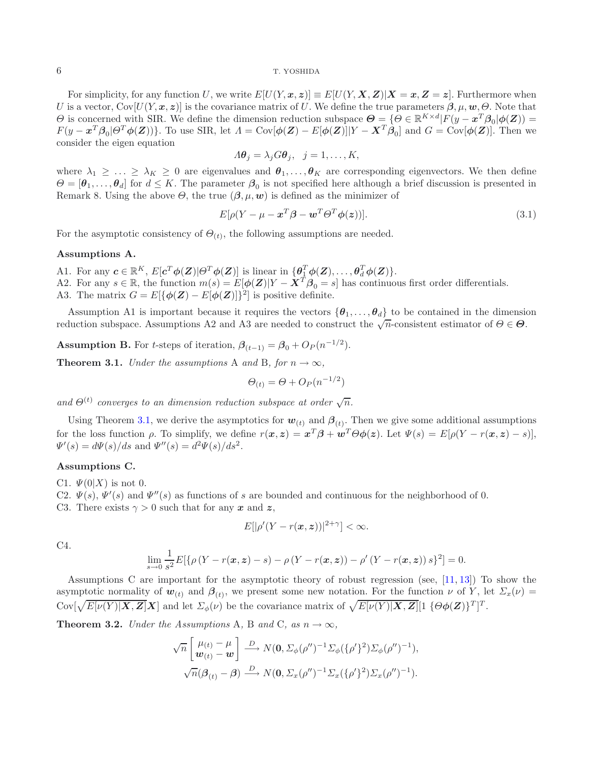For simplicity, for any function U, we write  $E[U(Y, x, z)] \equiv E[U(Y, X, Z)|X = x, Z = z]$ . Furthermore when U is a vector,  $Cov[U(Y, x, z)]$  is the covariance matrix of U. We define the true parameters  $\beta, \mu, w, \Theta$ . Note that  $Θ$  is concerned with SIR. We define the dimension reduction subspace  $Θ = \{Θ \in \mathbb{R}^{K \times d} | F(y - x^T β_0 | φ(Z)) =$  $F(y - x^T \beta_0 | \Theta^T \phi(Z))$ . To use SIR, let  $\Lambda = \text{Cov}[\phi(Z) - E[\phi(Z)] | Y - X^T \beta_0]$  and  $G = \text{Cov}[\phi(Z)]$ . Then we consider the eigen equation

$$
A\boldsymbol{\theta}_j = \lambda_j G\boldsymbol{\theta}_j, \ \ j = 1, \dots, K,
$$

where  $\lambda_1 \geq \ldots \geq \lambda_K \geq 0$  are eigenvalues and  $\theta_1, \ldots, \theta_K$  are corresponding eigenvectors. We then define  $\Theta = [\theta_1,\ldots,\theta_d]$  for  $d \leq K$ . The parameter  $\beta_0$  is not specified here although a brief discussion is presented in Remark 8. Using the above  $\Theta$ , the true  $(\beta, \mu, \mathbf{w})$  is defined as the minimizer of

<span id="page-5-2"></span>
$$
E[\rho(Y - \mu - \mathbf{x}^T \boldsymbol{\beta} - \mathbf{w}^T \boldsymbol{\Theta}^T \boldsymbol{\phi}(\mathbf{z}))].
$$
\n(3.1)

For the asymptotic consistency of  $\Theta_{(t)}$ , the following assumptions are needed.

#### **Assumptions A.**

- A1. For any  $c \in \mathbb{R}^K$ ,  $E[c^T \phi(Z)|\Theta^T \phi(Z)]$  is linear in  $\{\theta_{\frac{1}{n}}^T \phi(Z), \dots, \theta_{\frac{d}{n}}^T \phi(Z)\}.$
- A2. For any  $s \in \mathbb{R}$ , the function  $m(s) = E[\phi(\mathbf{Z})|Y \mathbf{X}^T \boldsymbol{\beta}_0 = s]$  has continuous first order differentials.
- A3. The matrix  $G = E[\{\phi(\mathbf{Z}) E[\phi(\mathbf{Z})]\}^2]$  is positive definite.

Assumption A1 is important because it requires the vectors  $\{\theta_1,\ldots,\theta_d\}$  to be contained in the dimension reduction subspace. Assumptions A2 and A3 are needed to construct the  $\sqrt{n}$ -consistent estimator of  $\theta \in \Theta$ .

<span id="page-5-0"></span>**Assumption B.** For t-steps of iteration,  $\beta_{(t-1)} = \beta_0 + O_P(n^{-1/2})$ .

**Theorem 3.1.** *Under the assumptions* A *and* B, *for*  $n \to \infty$ *,* 

$$
\Theta_{(t)} = \Theta + O_P(n^{-1/2})
$$

and  $\Theta^{(t)}$  converges to an dimension reduction subspace at order  $\sqrt{n}$ .

Using Theorem [3.1,](#page-5-0) we derive the asymptotics for  $w_{(t)}$  and  $\beta_{(t)}$ . Then we give some additional assumptions for the loss function  $\rho$ . To simplify, we define  $r(x, z) = x^T \beta + w^T \Theta \phi(z)$ . Let  $\Psi(s) = E[\rho(Y - r(x, z) - s)],$  $\Psi'(s) = d\Psi(s)/ds$  and  $\Psi''(s) = d^2\Psi(s)/ds^2$ .

## **Assumptions C.**

C1.  $\Psi(0|X)$  is not 0.

- C2.  $\Psi(s)$ ,  $\Psi'(s)$  and  $\Psi''(s)$  as functions of s are bounded and continuous for the neighborhood of 0.
- C3. There exists  $\gamma > 0$  such that for any x and z,

$$
E[|\rho'(Y-r(\boldsymbol{x},\boldsymbol{z}))|^{2+\gamma}] < \infty.
$$

C4.

$$
\lim_{s \to 0} \frac{1}{s^2} E[\{\rho(Y - r(\bm{x}, \bm{z}) - s) - \rho(Y - r(\bm{x}, \bm{z})) - \rho'(Y - r(\bm{x}, \bm{z})) s\}^2] = 0.
$$

Assumptions C are important for the asymptotic theory of robust regression (see, [\[11,](#page-16-23) [13\]](#page-16-24)) To show the asymptotic normality of  $w_{(t)}$  and  $\beta_{(t)}$ , we present some new notation. For the function  $\nu$  of Y, let  $\Sigma_x(\nu)$  $\text{Cov}[\sqrt{E[\nu(Y)|\boldsymbol{X},\boldsymbol{Z}]}|\boldsymbol{X}]$  and let  $\Sigma_{\phi}(\nu)$  be the covariance matrix of  $\sqrt{E[\nu(Y)|\boldsymbol{X},\boldsymbol{Z}]}[1 \{\Theta \phi(\boldsymbol{Z})\}^T]^T$ .

<span id="page-5-1"></span>**Theorem 3.2.** *Under the Assumptions* A, B *and* C, *as*  $n \to \infty$ *,* 

$$
\sqrt{n}\begin{bmatrix} \mu_{(t)} - \mu \\ \boldsymbol{w}_{(t)} - \boldsymbol{w} \end{bmatrix} \xrightarrow{D} N(\mathbf{0}, \Sigma_{\phi}(\rho'')^{-1} \Sigma_{\phi}(\{\rho'\}^2) \Sigma_{\phi}(\rho'')^{-1}),
$$
  

$$
\sqrt{n}(\boldsymbol{\beta}_{(t)} - \boldsymbol{\beta}) \xrightarrow{D} N(\mathbf{0}, \Sigma_{x}(\rho'')^{-1} \Sigma_{x}(\{\rho'\}^2) \Sigma_{x}(\rho'')^{-1}).
$$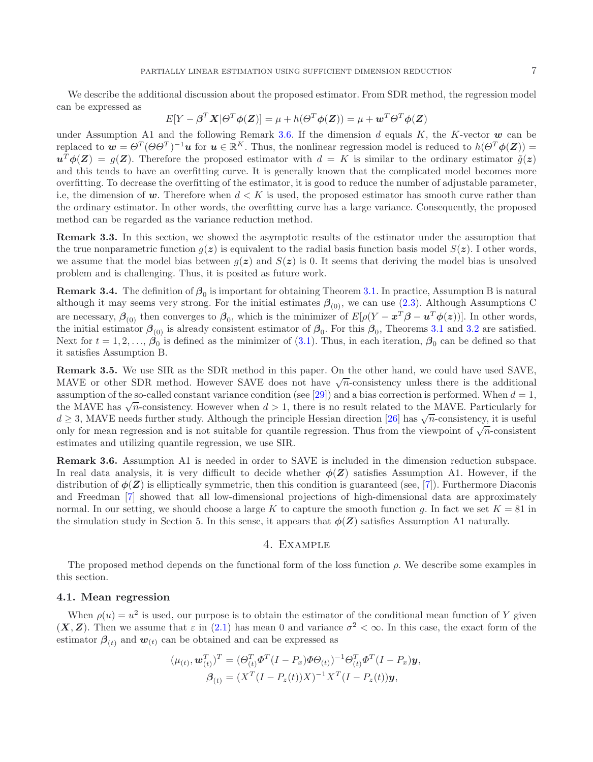We describe the additional discussion about the proposed estimator. From SDR method, the regression model can be expressed as

$$
E[Y - \beta^T X | \Theta^T \phi(Z)] = \mu + h(\Theta^T \phi(Z)) = \mu + \mathbf{w}^T \Theta^T \phi(Z)
$$

under Assumption A1 and the following Remark [3.6.](#page-6-0) If the dimension  $d$  equals  $K$ , the K-vector  $w$  can be replaced to  $w = \Theta^T(\Theta \Theta^T)^{-1}u$  for  $u \in \mathbb{R}^K$ . Thus, the nonlinear regression model is reduced to  $h(\Theta^T \phi(\mathbf{Z}))$  $u^T \phi(Z) = g(Z)$ . Therefore the proposed estimator with  $d = K$  is similar to the ordinary estimator  $\tilde{q}(z)$ and this tends to have an overfitting curve. It is generally known that the complicated model becomes more overfitting. To decrease the overfitting of the estimator, it is good to reduce the number of adjustable parameter, i.e, the dimension of  $w$ . Therefore when  $d < K$  is used, the proposed estimator has smooth curve rather than the ordinary estimator. In other words, the overfitting curve has a large variance. Consequently, the proposed method can be regarded as the variance reduction method.

**Remark 3.3.** In this section, we showed the asymptotic results of the estimator under the assumption that the true nonparametric function  $g(z)$  is equivalent to the radial basis function basis model  $S(z)$ . I other words, we assume that the model bias between  $q(z)$  and  $S(z)$  is 0. It seems that deriving the model bias is unsolved problem and is challenging. Thus, it is posited as future work.

**Remark 3.4.** The definition of  $\beta_0$  is important for obtaining Theorem [3.1.](#page-5-0) In practice, Assumption B is natural although it may seems very strong. For the initial estimates  $\beta_{(0)}$ , we can use [\(2.3\)](#page-3-1). Although Assumptions C are necessary,  $\beta_{(0)}$  then converges to  $\beta_0$ , which is the minimizer of  $E[\rho(Y - x^T \beta - u^T \phi(z))]$ . In other words, the initial estimator  $\beta_{(0)}$  is already consistent estimator of  $\beta_0$ . For this  $\beta_0$ , Theorems [3.1](#page-5-0) and [3.2](#page-5-1) are satisfied. Next for  $t = 1, 2, ..., \hat{\beta}_0$  is defined as the minimizer of [\(3.1\)](#page-5-2). Thus, in each iteration,  $\beta_0$  can be defined so that it satisfies Assumption B.

**Remark 3.5.** We use SIR as the SDR method in this paper. On the other hand, we could have used SAVE, MAVE or other SDR method. However SAVE does not have  $\sqrt{n}$ -consistency unless there is the additional assumption of the so-called constant variance condition (see [\[29](#page-16-25)]) and a bias correction is performed. When  $d = 1$ , the MAVE has  $\sqrt{n}$ -consistency. However when  $d > 1$ , there is no result related to the MAVE. Particularly for  $d \geq 3$ , MAVE needs further study. Although the principle Hessian direction [\[26](#page-16-11)] has  $\sqrt{n}$ -consistency, it is useful only for mean regression and is not suitable for quantile regression. Thus from the viewpoint of  $\sqrt{n}$ -consistent estimates and utilizing quantile regression, we use SIR.

<span id="page-6-0"></span>**Remark 3.6.** Assumption A1 is needed in order to SAVE is included in the dimension reduction subspace. In real data analysis, it is very difficult to decide whether  $\phi(Z)$  satisfies Assumption A1. However, if the distribution of  $\phi(\mathbf{Z})$  is elliptically symmetric, then this condition is guaranteed (see, [\[7\]](#page-16-26)). Furthermore Diaconis and Freedman [\[7](#page-16-26)] showed that all low-dimensional projections of high-dimensional data are approximately normal. In our setting, we should choose a large K to capture the smooth function g. In fact we set  $K = 81$  in the simulation study in Section 5. In this sense, it appears that  $\phi(\mathbf{Z})$  satisfies Assumption A1 naturally.

## 4. Example

The proposed method depends on the functional form of the loss function  $\rho$ . We describe some examples in this section.

# **4.1. Mean regression**

When  $\rho(u) = u^2$  is used, our purpose is to obtain the estimator of the conditional mean function of Y given  $(X, Z)$ . Then we assume that  $\varepsilon$  in [\(2.1\)](#page-2-0) has mean 0 and variance  $\sigma^2 < \infty$ . In this case, the exact form of the estimator  $\beta_{(t)}$  and  $w_{(t)}$  can be obtained and can be expressed as

$$
(\mu_{(t)}, \mathbf{w}_{(t)}^T)^T = (\Theta_{(t)}^T \Phi^T (I - P_x) \Phi \Theta_{(t)})^{-1} \Theta_{(t)}^T \Phi^T (I - P_x) \mathbf{y},
$$
  

$$
\boldsymbol{\beta}_{(t)} = (X^T (I - P_z(t)) X)^{-1} X^T (I - P_z(t)) \mathbf{y},
$$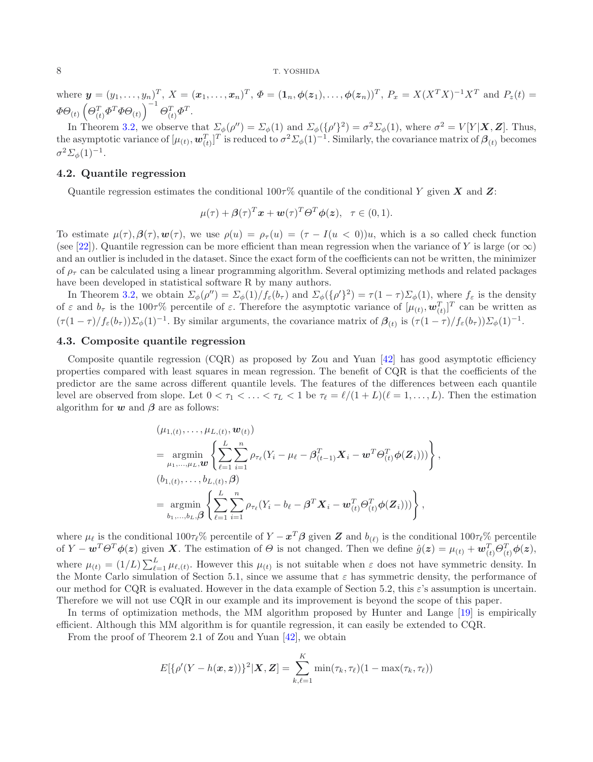where  $y = (y_1, \ldots, y_n)_1^T$ ,  $X = (x_1, \ldots, x_n)^T$ ,  $\Phi = (1_n, \phi(z_1), \ldots, \phi(z_n))^T$ ,  $P_x = X(X^T X)^{-1} X^T$  and  $P_z(t) =$  $\Phi \overline{\Theta}_{(t)} \left( \overline{\Theta_{(t)}^T} \Phi^T \Phi \overline{\Theta_{(t)}} \right)^{-1} \overline{\Theta_{(t)}^T} \Phi^T.$ 

In Theorem [3.2,](#page-5-1) we observe that  $\Sigma_{\phi}(\rho'') = \Sigma_{\phi}(1)$  and  $\Sigma_{\phi}(\{\rho'\}^2) = \sigma^2 \Sigma_{\phi}(1)$ , where  $\sigma^2 = V[Y|\mathbf{X}, \mathbf{Z}]$ . Thus, the asymptotic variance of  $[\mu_{(t)}, \boldsymbol{w}_{(t)}^T]^T$  is reduced to  $\sigma^2 \Sigma_{\phi}(1)^{-1}$ . Similarly, the covariance matrix of  $\boldsymbol{\beta}_{(t)}$  becomes  $\sigma^2 \Sigma_\phi(1)^{-1}$ .

### **4.2. Quantile regression**

Quantile regression estimates the conditional 100τ% quantile of the conditional Y given *X* and *Z*:

$$
\mu(\tau)+\boldsymbol{\beta}(\tau)^T\mathbf{x}+\mathbf{w}(\tau)^T\boldsymbol{\Theta}^T\boldsymbol{\phi}(\mathbf{z}),\ \ \tau\in(0,1).
$$

To estimate  $\mu(\tau), \beta(\tau), \bm{w}(\tau)$ , we use  $\rho(u) = \rho_{\tau}(u) = (\tau - I(u < 0))u$ , which is a so called check function (see [\[22\]](#page-16-27)). Quantile regression can be more efficient than mean regression when the variance of Y is large (or  $\infty$ ) and an outlier is included in the dataset. Since the exact form of the coefficients can not be written, the minimizer of  $\rho_{\tau}$  can be calculated using a linear programming algorithm. Several optimizing methods and related packages have been developed in statistical software R by many authors.

In Theorem [3.2,](#page-5-1) we obtain  $\Sigma_{\phi}(\rho'') = \Sigma_{\phi}(1)/f_{\varepsilon}(b_{\tau})$  and  $\Sigma_{\phi}(\{\rho'\}^2) = \tau(1-\tau)\Sigma_{\phi}(1)$ , where  $f_{\varepsilon}$  is the density of  $\varepsilon$  and  $b_{\tau}$  is the 100 $\tau$ % percentile of  $\varepsilon$ . Therefore the asymptotic variance of  $[\mu_{(t)}, \boldsymbol{w}_{(t)}^T]^T$  can be written as  $(\tau(1-\tau)/f_{\varepsilon}(b_{\tau}))\Sigma_{\phi}(1)^{-1}$ . By similar arguments, the covariance matrix of  $\beta_{(t)}$  is  $(\tau(1-\tau)/f_{\varepsilon}(b_{\tau}))\Sigma_{\phi}(1)^{-1}$ .

# **4.3. Composite quantile regression**

Composite quantile regression (CQR) as proposed by Zou and Yuan [\[42\]](#page-16-21) has good asymptotic efficiency properties compared with least squares in mean regression. The benefit of CQR is that the coefficients of the predictor are the same across different quantile levels. The features of the differences between each quantile level are observed from slope. Let  $0 < \tau_1 < \ldots < \tau_L < 1$  be  $\tau_\ell = \ell/(1+L)(\ell=1,\ldots,L)$ . Then the estimation algorithm for  $w$  and  $\beta$  are as follows:

$$
\begin{split}\n&\left(\mu_{1,(t)},\ldots,\mu_{L,(t)},\mathbf{w}_{(t)}\right) \\
&= \underset{\mu_{1},\ldots,\mu_{L},\mathbf{w}}{\operatorname{argmin}} \left\{ \sum_{\ell=1}^{L} \sum_{i=1}^{n} \rho_{\tau_{\ell}} (Y_{i} - \mu_{\ell} - \boldsymbol{\beta}_{(t-1)}^{T} \mathbf{X}_{i} - \mathbf{w}^{T} \boldsymbol{\Theta}_{(t)}^{T} \boldsymbol{\phi}(\mathbf{Z}_{i}))) \right\}, \\
&\left(b_{1,(t)},\ldots,b_{L,(t)},\boldsymbol{\beta}\right) \\
&= \underset{b_{1},\ldots,b_{L},\boldsymbol{\beta}}{\operatorname{argmin}} \left\{ \sum_{\ell=1}^{L} \sum_{i=1}^{n} \rho_{\tau_{\ell}} (Y_{i} - b_{\ell} - \boldsymbol{\beta}^{T} \mathbf{X}_{i} - \mathbf{w}_{(t)}^{T} \boldsymbol{\Theta}_{(t)}^{T} \boldsymbol{\phi}(\mathbf{Z}_{i}))) \right\},\n\end{split}
$$

where  $\mu_{\ell}$  is the conditional 100 $\tau_{\ell}$ % percentile of  $Y - x^T \beta$  given  $Z$  and  $b_{(\ell)}$  is the conditional 100 $\tau_{\ell}$ % percentile of  $Y - \boldsymbol{w}^T \boldsymbol{\Theta}^T \boldsymbol{\phi}(\boldsymbol{z})$  given **X**. The estimation of  $\boldsymbol{\Theta}$  is not changed. Then we define  $\hat{g}(\boldsymbol{z}) = \mu_{(t)} + \boldsymbol{w}_{(t)}^T \boldsymbol{\Theta}_{(t)}^T \boldsymbol{\phi}(\boldsymbol{z}),$ where  $\mu_{(t)} = (1/L) \sum_{\ell=1}^{L} \mu_{\ell,(t)}$ . However this  $\mu_{(t)}$  is not suitable when  $\varepsilon$  does not have symmetric density. In the Monte Carlo simulation of Section 5.1, since we assume that  $\varepsilon$  has symmetric density, the performance of our method for CQR is evaluated. However in the data example of Section 5.2, this  $\varepsilon$ 's assumption is uncertain. Therefore we will not use CQR in our example and its improvement is beyond the scope of this paper.

In terms of optimization methods, the MM algorithm proposed by Hunter and Lange [\[19](#page-16-28)] is empirically efficient. Although this MM algorithm is for quantile regression, it can easily be extended to CQR.

From the proof of Theorem 2.1 of Zou and Yuan [\[42](#page-16-21)], we obtain

$$
E[\{\rho'(Y-h(\boldsymbol{x},\boldsymbol{z}))\}^2|\boldsymbol{X},\boldsymbol{Z}] = \sum_{k,\ell=1}^K \min(\tau_k,\tau_\ell)(1-\max(\tau_k,\tau_\ell))
$$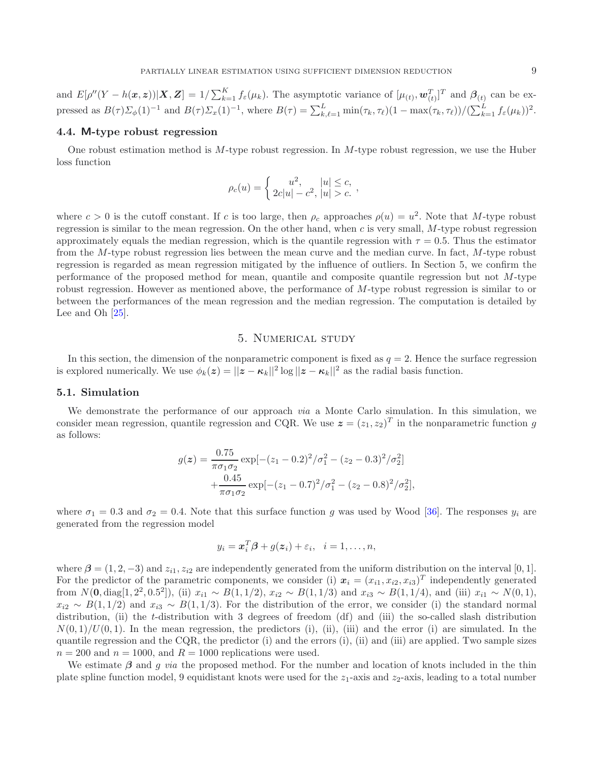and  $E[\rho''(Y - h(\boldsymbol{x}, \boldsymbol{z}))| \boldsymbol{X}, \boldsymbol{Z}] = 1/\sum_{k=1}^{K} f_{\varepsilon}(\mu_k)$ . The asymptotic variance of  $[\mu_{(t)}, \boldsymbol{w}_{(t)}^T]^T$  and  $\boldsymbol{\beta}_{(t)}$  can be expressed as  $B(\tau)\Sigma_{\phi}(1)^{-1}$  and  $B(\tau)\Sigma_x(1)^{-1}$ , where  $B(\tau)=\sum_{k,\ell=1}^L \min(\tau_k,\tau_\ell)(1-\max(\tau_k,\tau_\ell))/(\sum_{k=1}^L f_{\varepsilon}(\mu_k))^2$ .

# **4.4. M-type robust regression**

One robust estimation method is M-type robust regression. In M-type robust regression, we use the Huber loss function

$$
\rho_c(u) = \begin{cases} u^2, & |u| \leq c, \\ 2c|u| - c^2, & |u| > c. \end{cases}
$$

where  $c > 0$  is the cutoff constant. If c is too large, then  $\rho_c$  approaches  $\rho(u) = u^2$ . Note that M-type robust regression is similar to the mean regression. On the other hand, when c is very small, M-type robust regression approximately equals the median regression, which is the quantile regression with  $\tau = 0.5$ . Thus the estimator from the M-type robust regression lies between the mean curve and the median curve. In fact, M-type robust regression is regarded as mean regression mitigated by the influence of outliers. In Section 5, we confirm the performance of the proposed method for mean, quantile and composite quantile regression but not  $M$ -type robust regression. However as mentioned above, the performance of M-type robust regression is similar to or between the performances of the mean regression and the median regression. The computation is detailed by Lee and Oh [\[25\]](#page-16-29).

# 5. Numerical study

In this section, the dimension of the nonparametric component is fixed as  $q = 2$ . Hence the surface regression is explored numerically. We use  $\phi_k(z) = ||z - \kappa_k||^2 \log ||z - \kappa_k||^2$  as the radial basis function.

#### **5.1. Simulation**

We demonstrate the performance of our approach *via* a Monte Carlo simulation. In this simulation, we consider mean regression, quantile regression and CQR. We use  $z = (z_1, z_2)^T$  in the nonparametric function g as follows:

$$
g(z) = \frac{0.75}{\pi \sigma_1 \sigma_2} \exp[-(z_1 - 0.2)^2/\sigma_1^2 - (z_2 - 0.3)^2/\sigma_2^2]
$$

$$
+ \frac{0.45}{\pi \sigma_1 \sigma_2} \exp[-(z_1 - 0.7)^2/\sigma_1^2 - (z_2 - 0.8)^2/\sigma_2^2],
$$

where  $\sigma_1 = 0.3$  and  $\sigma_2 = 0.4$ . Note that this surface function g was used by Wood [\[36\]](#page-16-10). The responses  $y_i$  are generated from the regression model

$$
y_i = \boldsymbol{x}_i^T \boldsymbol{\beta} + g(\boldsymbol{z}_i) + \varepsilon_i, \quad i = 1, \dots, n,
$$

where  $\beta = (1, 2, -3)$  and  $z_{i1}, z_{i2}$  are independently generated from the uniform distribution on the interval [0, 1]. For the predictor of the parametric components, we consider (i)  $x_i = (x_{i1}, x_{i2}, x_{i3})^T$  independently generated from  $N(0, \text{diag}[1, 2^2, 0.5^2])$ , (ii)  $x_{i1} \sim B(1, 1/2)$ ,  $x_{i2} \sim B(1, 1/3)$  and  $x_{i3} \sim B(1, 1/4)$ , and (iii)  $x_{i1} \sim N(0, 1)$ ,  $x_{i2} \sim B(1, 1/2)$  and  $x_{i3} \sim B(1, 1/3)$ . For the distribution of the error, we consider (i) the standard normal distribution, (ii) the t-distribution with 3 degrees of freedom (df) and (iii) the so-called slash distribution  $N(0, 1)/U(0, 1)$ . In the mean regression, the predictors (i), (ii), (iii) and the error (i) are simulated. In the quantile regression and the CQR, the predictor (i) and the errors  $(i)$ ,  $(ii)$  and  $(iii)$  are applied. Two sample sizes  $n = 200$  and  $n = 1000$ , and  $R = 1000$  replications were used.

We estimate *β* and g *via* the proposed method. For the number and location of knots included in the thin plate spline function model, 9 equidistant knots were used for the  $z_1$ -axis and  $z_2$ -axis, leading to a total number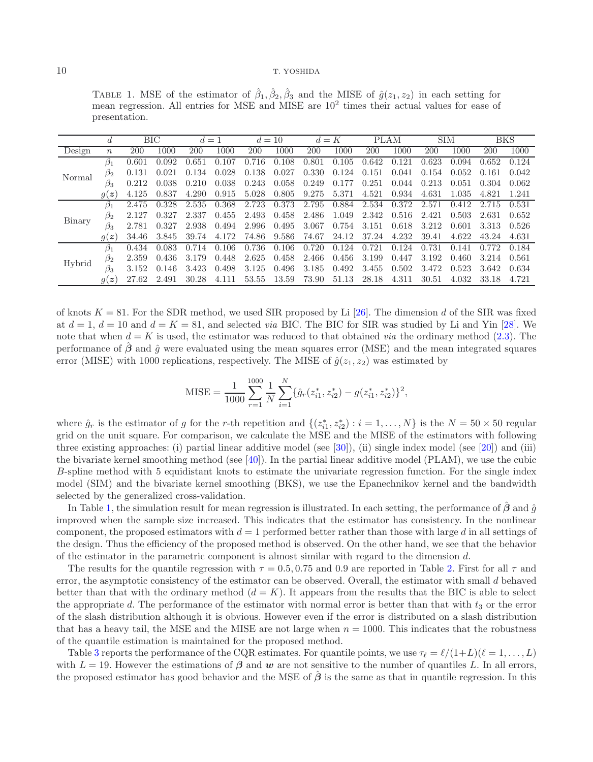<span id="page-9-0"></span>TABLE 1. MSE of the estimator of  $\hat{\beta}_1, \hat{\beta}_2, \hat{\beta}_3$  and the MISE of  $\hat{g}(z_1, z_2)$  in each setting for mean regression. All entries for MSE and MISE are 10<sup>2</sup> times their actual values for ease of presentation.

|        |                  | ВIС   |       | $d=1$     |            | $d=10$     |       | $d=K$ |       | PLAM  |       | <b>SIM</b> |       | BKS   |       |
|--------|------------------|-------|-------|-----------|------------|------------|-------|-------|-------|-------|-------|------------|-------|-------|-------|
| Design | $\boldsymbol{n}$ | 200   | 1000  | 200       | 1000       | <b>200</b> | 1000  | 200   | 1000  | 200   | 1000  | 200        | 1000  | 200   | 1000  |
| Normal | $\beta_1$        | 0.601 | 0.092 | 0.651     | 0.107      | 0.716      | 0.108 | 0.801 | 0.105 | 0.642 | 0.121 | 0.623      | 0.094 | 0.652 | 0.124 |
|        | $\beta_2$        | 0.131 | 0.021 | 0.134     | 0.028      | 0.138      | 0.027 | 0.330 | 0.124 | 0.151 | 0.041 | 0.154      | 0.052 | 0.161 | 0.042 |
|        | β3               | 0.212 | 0.038 | 0.210     | 0.038      | 0.243      | 0.058 | 0.249 | 0.177 | 0.251 | 0.044 | 0.213      | 0.051 | 0.304 | 0.062 |
|        | q(z)             | 4.125 | 0.837 | 4.290     | 0.915      | 5.028      | 0.805 | 9.275 | 5.371 | 4.521 | 0.934 | 4.631      | 1.035 | 4.821 | 1.241 |
|        | $\beta_1$        | 2.475 | 0.328 | 2.535     | 0.368      | 2.723      | 0.373 | 2.795 | 0.884 | 2.534 | 0.372 | 2.571      | 0.412 | '15   | 0.531 |
| Binary | $\beta_2$        | 2.127 | 0.327 | 2.337     | 0.455      | 2.493      | 0.458 | 2.486 | 1.049 | 2.342 | 0.516 | 2.421      | 0.503 | 2.631 | 0.652 |
|        | $\beta_3$        | 2.781 | 0.327 | 2.938     | 0.494      | 2.996      | 0.495 | 3.067 | 0.754 | 3.151 | 0.618 | 3.212      | 0.601 | 3.313 | 0.526 |
|        | g(z)             | 34.46 | 3.845 | 39.74     | 172<br>4.1 | 74.86      | 9.586 | 74.67 | 24.12 | 37.24 | 4.232 | 39.41      | 4.622 | 43.24 | 4.631 |
| Hybrid | $\beta_1$        | 0.434 | 0.083 | 0.714     | 0.106      | 0.736      | 0.106 | 0.720 | 0.124 | 0.721 | 0.124 | 0.731      | 0.141 |       | 0.184 |
|        | $\beta_2$        | 2.359 | 0.436 | 79<br>3.1 | 0.448      | 2.625      | 0.458 | 2.466 | 0.456 | 3.199 | 0.447 | 3.192      | 0.460 | 3.214 | 0.561 |
|        | $\beta_3$        | 3.152 | 0.146 | 3.423     | 0.498      | 3.125      | 0.496 | 3.185 | 0.492 | 3.455 | 0.502 | 3.472      | 0.523 | 3.642 | 0.634 |
|        | g(z)             | 27.62 | 2.491 | 30.28     | 4.111      | 53.55      | 13.59 | 73.90 | 51.13 | 28.18 | 4.311 | 30.51      | 4.032 | 33.18 | 4.721 |

of knots  $K = 81$ . For the SDR method, we used SIR proposed by Li [\[26](#page-16-11)]. The dimension d of the SIR was fixed at  $d = 1$ ,  $d = 10$  and  $d = K = 81$ , and selected *via* BIC. The BIC for SIR was studied by Li and Yin [\[28\]](#page-16-30). We note that when  $d = K$  is used, the estimator was reduced to that obtained *via* the ordinary method [\(2.3\)](#page-3-1). The performance of  $\beta$  and  $\hat{q}$  were evaluated using the mean squares error (MSE) and the mean integrated squares error (MISE) with 1000 replications, respectively. The MISE of  $\hat{g}(z_1, z_2)$  was estimated by

MISE = 
$$
\frac{1}{1000} \sum_{r=1}^{1000} \frac{1}{N} \sum_{i=1}^{N} \{\hat{g}_r(z_{i1}^*, z_{i2}^*) - g(z_{i1}^*, z_{i2}^*)\}^2
$$

where  $\hat{g}_r$  is the estimator of g for the r-th repetition and  $\{(z_{i1}^*, z_{i2}^*) : i = 1, ..., N\}$  is the  $N = 50 \times 50$  regular grid on the unit square. For comparison, we calculate the MSE and the MISE of the estimators with following three existing approaches: (i) partial linear additive model (see [\[30](#page-16-31)]), (ii) single index model (see [\[20](#page-16-32)]) and (iii) the bivariate kernel smoothing method (see [\[40](#page-16-33)]). In the partial linear additive model (PLAM), we use the cubic B-spline method with 5 equidistant knots to estimate the univariate regression function. For the single index model (SIM) and the bivariate kernel smoothing (BKS), we use the Epanechnikov kernel and the bandwidth selected by the generalized cross-validation.

In Table [1,](#page-9-0) the simulation result for mean regression is illustrated. In each setting, the performance of  $\beta$  and  $\hat{g}$ improved when the sample size increased. This indicates that the estimator has consistency. In the nonlinear component, the proposed estimators with  $d = 1$  performed better rather than those with large d in all settings of the design. Thus the efficiency of the proposed method is observed. On the other hand, we see that the behavior of the estimator in the parametric component is almost similar with regard to the dimension  $d$ .

The results for the quantile regression with  $\tau = 0.5, 0.75$  and 0.9 are reported in Table [2.](#page-10-0) First for all  $\tau$  and error, the asymptotic consistency of the estimator can be observed. Overall, the estimator with small d behaved better than that with the ordinary method  $(d = K)$ . It appears from the results that the BIC is able to select the appropriate d. The performance of the estimator with normal error is better than that with  $t_3$  or the error of the slash distribution although it is obvious. However even if the error is distributed on a slash distribution that has a heavy tail, the MSE and the MISE are not large when  $n = 1000$ . This indicates that the robustness of the quantile estimation is maintained for the proposed method.

Table [3](#page-11-0) reports the performance of the CQR estimates. For quantile points, we use  $\tau_{\ell} = \ell/(1+L)(\ell = 1, \ldots, L)$ with  $L = 19$ . However the estimations of  $\beta$  and  $w$  are not sensitive to the number of quantiles L. In all errors, the proposed estimator has good behavior and the MSE of *β*ˆ is the same as that in quantile regression. In this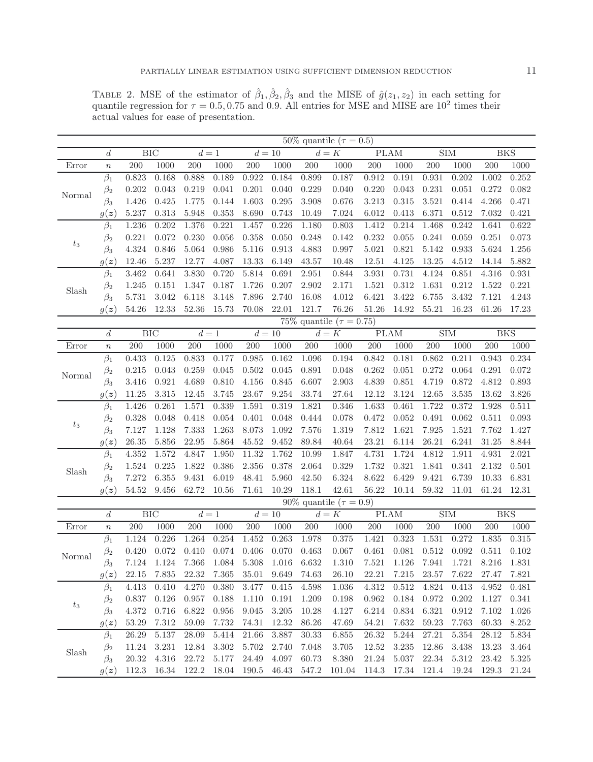<span id="page-10-0"></span>TABLE 2. MSE of the estimator of  $\hat{\beta}_1, \hat{\beta}_2, \hat{\beta}_3$  and the MISE of  $\hat{g}(z_1, z_2)$  in each setting for quantile regression for  $\tau = 0.5, 0.75$  and 0.9. All entries for MSE and MISE are  $10^2$  times their actual values for ease of presentation.

|        |                     | 50% quantile ( $\tau = 0.5$ )   |            |                  |                  |                      |           |                    |                               |             |           |                                 |                         |            |            |
|--------|---------------------|---------------------------------|------------|------------------|------------------|----------------------|-----------|--------------------|-------------------------------|-------------|-----------|---------------------------------|-------------------------|------------|------------|
|        | $\boldsymbol{d}$    | BIC                             |            | $\overline{d}=1$ |                  | $\overline{d} = 10$  |           | $\overline{d} = K$ |                               | $\rm{PLAM}$ |           | ${\rm SIM}$                     |                         | <b>BKS</b> |            |
| Error  | $\boldsymbol{n}$    | 200                             | 1000       | 200              | 1000             | $200\,$              | 1000      | 200                | 1000                          | 200         | $1000\,$  | $200\,$                         | 1000                    | 200        | 1000       |
|        | $\beta_1$           | 0.823                           | 0.168      | 0.888            | 0.189            | 0.922                | 0.184     | 0.899              | 0.187                         | 0.912       | 0.191     | 0.931                           | 0.202                   | 1.002      | $0.252\,$  |
| Normal | $\beta_2$           | 0.202                           | 0.043      | 0.219            | 0.041            | 0.201                | 0.040     | 0.229              | 0.040                         | 0.220       | 0.043     | 0.231                           | 0.051                   | 0.272      | 0.082      |
|        | $\beta_3$           | 1.426                           | 0.425      | 1.775            | 0.144            | 1.603                | 0.295     | 3.908              | 0.676                         | 3.213       | $\!0.315$ | 3.521                           | 0.414                   | 4.266      | 0.471      |
|        | $g(\boldsymbol{z})$ | 5.237                           | 0.313      | 5.948            | $\!.353$         | 8.690                | 0.743     | 10.49              | 7.024                         | 6.012       | 0.413     | 6.371                           | 0.512                   | 7.032      | 0.421      |
|        | $\beta_1$           | 1.236                           | 0.202      | 1.376            | 0.221            | 1.457                | 0.226     | 1.180              | 0.803                         | 1.412       | 0.214     | 1.468                           | 0.242                   | 1.641      | 0.622      |
| $t_3$  | $\beta_2$           | 0.221                           | 0.072      | 0.230            | 0.056            | 0.358                | 0.050     | 0.248              | 0.142                         | 0.232       | 0.055     | 0.241                           | 0.059                   | 0.251      | 0.073      |
|        | $\beta_3$           | 4.324                           | 0.846      | 5.064            | 0.986            | $5.116\,$            | 0.913     | 4.883              | 0.997                         | 5.021       | 0.821     | 5.142                           | 0.933                   | 5.624      | 1.256      |
|        | $g(\boldsymbol{z})$ | 12.46                           | 5.237      | 12.77            | 4.087            | 13.33                | 6.149     | 43.57              | 10.48                         | 12.51       | 4.125     | 13.25                           | 4.512                   | 14.14      | 5.882      |
|        | $\beta_1$           | 3.462                           | 0.641      | 3.830            | 0.720            | 5.814                | 0.691     | 2.951              | 0.844                         | 3.931       | 0.731     | 4.124                           | 0.851                   | 4.316      | 0.931      |
| Slash  | $\beta_2$           | 1.245                           | 0.151      | 1.347            | 0.187            | 1.726                | 0.207     | 2.902              | 2.171                         | 1.521       | $0.312\,$ | 1.631                           | 0.212                   | 1.522      | 0.221      |
|        | $\beta_3$           | 5.731                           | 3.042      | 6.118            | 3.148            | 7.896                | 2.740     | 16.08              | 4.012                         | 6.421       | 3.422     | 6.755                           | 3.432                   | 7.121      | 4.243      |
|        | g(z)                | 54.26                           | $12.33\,$  | 52.36            | 15.73            | 70.08                | 22.01     | 121.7              | 76.26                         | 51.26       | 14.92     | 55.21                           | 16.23                   | 61.26      | 17.23      |
|        |                     | 75\% quantile ( $\tau = 0.75$ ) |            |                  |                  |                      |           |                    |                               |             |           |                                 |                         |            |            |
|        | $\boldsymbol{d}$    |                                 | <b>BIC</b> | $d=1\,$          |                  |                      | $d=10$    |                    | $d=K$                         |             | PLAM      |                                 | $\overline{\text{SIM}}$ |            | <b>BKS</b> |
| Error  | $\boldsymbol{n}$    | 200                             | 1000       | 200              | 1000             | 200                  | 1000      | 200                | 1000                          | 200         | 1000      | 200                             | 1000                    | 200        | 1000       |
| Normal | $\beta_1$           | 0.433                           | 0.125      | 0.833            | 0.177            | 0.985                | 0.162     | 1.096              | 0.194                         | 0.842       | 0.181     | 0.862                           | 0.211                   | 0.943      | 0.234      |
|        | $\beta_2$           | 0.215                           | 0.043      | 0.259            | 0.045            | 0.502                | 0.045     | 0.891              | 0.048                         | 0.262       | 0.051     | 0.272                           | 0.064                   | 0.291      | 0.072      |
|        | $\beta_3$           | 3.416                           | 0.921      | 4.689            | 0.810            | 4.156                | 0.845     | 6.607              | 2.903                         | 4.839       | 0.851     | 4.719                           | 0.872                   | 4.812      | 0.893      |
|        | $g(\boldsymbol{z})$ | 11.25                           | 3.315      | 12.45            | 3.745            | 23.67                | 9.254     | 33.74              | 27.64                         | 12.12       | 3.124     | 12.65                           | 3.535                   | 13.62      | $3.826\,$  |
| $t_3$  | $\beta_1$           | 1.426                           | 0.261      | 1.571            | 0.339            | 1.591                | 0.319     | 1.821              | 0.346                         | 1.633       | 0.461     | 1.722                           | 0.372                   | 1.928      | $0.511\,$  |
|        | $\beta_2$           | 0.328                           | 0.048      | 0.418            | 0.054            | 0.401                | 0.048     | 0.444              | 0.078                         | 0.472       | 0.052     | 0.491                           | 0.062                   | 0.511      | 0.093      |
|        | $\beta_3$           | 7.127                           | 1.128      | 7.333            | 1.263            | 8.073                | 1.092     | 7.576              | 1.319                         | 7.812       | 1.621     | 7.925                           | 1.521                   | 7.762      | 1.427      |
|        | g(z)                | $26.35\,$                       | 5.856      | 22.95            | 5.864            | 45.52                | 9.452     | 89.84              | 40.64                         | 23.21       | 6.114     | 26.21                           | 6.241                   | 31.25      | 8.844      |
|        | $\beta_1$           | 4.352                           | 1.572      | 4.847            | 1.950            | 11.32                | 1.762     | 10.99              | 1.847                         | 4.731       | 1.724     | 4.812                           | 1.911                   | 4.931      | $2.021\,$  |
| Slash  | $\beta_2$           | 1.524                           | 0.225      | 1.822            | 0.386            | 2.356                | 0.378     | 2.064              | 0.329                         | 1.732       | 0.321     | 1.841                           | 0.341                   | 2.132      | 0.501      |
|        | $\beta_3$           | 7.272                           | 6.355      | 9.431            | 6.019            | 48.41                | 5.960     | 42.50              | 6.324                         | 8.622       | 6.429     | 9.421                           | 6.739                   | 10.33      | 6.831      |
|        | g(z)                | 54.52                           | 9.456      | 62.72            | 10.56            | 71.61                | 10.29     | 118.1              | 42.61                         | 56.22       | 10.14     | 59.32                           | 11.01                   | 61.24      | 12.31      |
|        |                     |                                 |            |                  |                  |                      |           |                    | 90% quantile ( $\tau = 0.9$ ) |             |           |                                 |                         |            |            |
|        | $\boldsymbol{d}$    |                                 | <b>BIC</b> |                  | $\overline{d}=1$ |                      | $d=10\,$  |                    | $d = K$                       |             | PLAM      |                                 | <b>SIM</b>              |            | <b>BKS</b> |
| Error  | $\boldsymbol{n}$    | 200                             | 1000       | 200              | 1000             | $200\,$              | 1000      | 200                | 1000                          | 200         | 1000      | 200                             | 1000                    | 200        | 1000       |
|        | $\beta_1$           | 1.124                           | 0.226      | 1.264            | 0.254            | 1.452                | 0.263     | 1.978              | 0.375                         | 1.421       | 0.323     | 1.531                           | 0.272                   | 1.835      | 0.315      |
| Normal | $\beta_2$           | 0.420                           | 0.072      | 0.410            | 0.074            | 0.406                | 0.070     | 0.463              | 0.067                         | 0.461       | 0.081     | 0.512                           | 0.092                   | 0.511      | 0.102      |
|        | $\beta_3$           | 7.124                           | 1.124      | 7.366            | 1.084            | $5.308\,$            | 1.016     | 6.632              | 1.310                         | 7.521       | 1.126     | 7.941                           | 1.721                   | 8.216      | 1.831      |
|        | g(z)                | 22.15                           | 7.835      | 22.32            | 7.365            | 35.01                | 9.649     | 74.63              | 26.10                         | 22.21       | 7.215     | 23.57                           | 7.622                   | 27.47      | 7.821      |
|        | $\beta_1$           | 4.413                           | 0.410      | 4.270            | 0.380            | 3.477                | 0.415     | 4.598              | 1.036                         |             |           | $4.312$ $0.512$ $4.824$ $0.413$ |                         | 4.952      | 0.481      |
| $t_3$  | $\beta_2$           | 0.837                           | $0.126\,$  | 0.957            | 0.188            | 1.110                | 0.191     | 1.209              | 0.198                         | $\,0.962\,$ | 0.184     | $0.972\,$                       | 0.202                   | $1.127\,$  | 0.341      |
|        | $\beta_3$           | $4.372\,$                       | $0.716\,$  | 6.822            | 0.956            | $\boldsymbol{9.045}$ | $3.205\,$ | 10.28              | 4.127                         | 6.214       | 0.834     | 6.321                           | $\rm 0.912$             | 7.102      | 1.026      |
|        | g(z)                | 53.29                           | $7.312\,$  | 59.09            | 7.732            | 74.31                | 12.32     | 86.26              | 47.69                         | $54.21\,$   | 7.632     | 59.23                           | 7.763                   | 60.33      | 8.252      |
|        | $\beta_1$           | $26.29\,$                       | $5.137\,$  | 28.09            | 5.414            | 21.66                | 3.887     | $30.33\,$          | 6.855                         | $26.32\,$   | $5.244\,$ | $27.21\,$                       | $5.354\,$               | $28.12\,$  | 5.834      |
| Slash  | $\beta_2$           | 11.24                           | $3.231\,$  | 12.84            | $3.302\,$        | $5.702\,$            | 2.740     | 7.048              | 3.705                         | $12.52\,$   | 3.235     | $12.86\,$                       | 3.438                   | 13.23      | 3.464      |
|        | $\beta_3$           | $20.32\,$                       | $4.316\,$  | $22.72\,$        | 5.177            | $24.49\,$            | $4.097\,$ | 60.73              | 8.380                         | $21.24\,$   | $5.037\,$ | $22.34\,$                       | $5.312\,$               | $23.42\,$  | $5.325\,$  |
|        | g(z)                | 112.3                           | 16.34      | 122.2            | 18.04            | $190.5\,$            | 46.43     | $547.2\,$          | 101.04                        | 114.3       | 17.34     | 121.4                           | 19.24                   | 129.3      | 21.24      |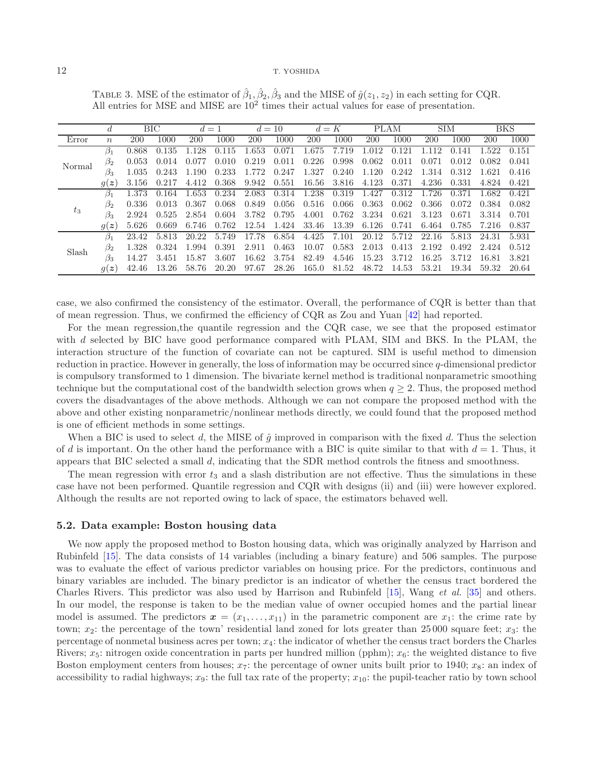|         | d                |            | ВIС   | $d=1$ |       | $d=10$ |       | $d=K$      |       |            | PLAM  | <b>SIM</b> |       |       | <b>BKS</b> |
|---------|------------------|------------|-------|-------|-------|--------|-------|------------|-------|------------|-------|------------|-------|-------|------------|
| Error   | $\boldsymbol{n}$ | <b>200</b> | 1000  | 200   | 1000  | 200    | 1000  | <b>200</b> | 1000  | <b>200</b> | 1000  | 200        | 1000  | 200   | 1000       |
| Normal  | $\beta_1$        | 0.868      | 0.135 | .128  | 0.115 | 1.653  | 0.071 | 1.675      | 7.719 | 1.012      | 0.121 | 12         | 0.141 | .522  | 0.151      |
|         | $\mathfrak{D}_2$ | 0.053      | 0.014 | 0.077 | 0.010 | 0.219  | 0.011 | 0.226      | 0.998 | 0.062      | 0.011 | 0.071      | 0.012 | 0.082 | 0.041      |
|         | $\beta_3$        | 1.035      | 0.243 | 1.190 | 0.233 | 1.772  | 0.247 | 1.327      | 0.240 | 1.120      | 0.242 | 1.314      | 0.312 | 1.621 | 0.416      |
|         | g(z)             | 3.156      | 0.217 | 4.412 | 0.368 | 9.942  | 0.551 | 16.56      | 3.816 | 4.123      | 0.371 | 4.236      | 0.331 | 4.824 | 0.421      |
|         | $\beta_1$        | 1.373      | 0.164 | .653  | 0.234 | 2.083  | 0.314 | 1.238      | 0.319 | 1.427      | 0.312 | 1.726      | 0.371 | 1.682 | 0.421      |
|         | $\beta_2$        | 0.336      | 0.013 | 0.367 | 0.068 | 0.849  | 0.056 | 0.516      | 0.066 | 0.363      | 0.062 | 0.366      | 0.072 | 0.384 | 0.082      |
| $t_{3}$ | $\beta_3$        | 2.924      | 0.525 | 2.854 | 0.604 | 3.782  | 0.795 | 4.001      | 0.762 | 3.234      | 0.621 | 3.123      | 0.671 | 3.314 | 0.701      |
|         | g(z)             | 5.626      | 0.669 | 6.746 | 0.762 | 12.54  | 1.424 | 33.46      | 13.39 | 6.126      | 0.741 | 6.464      | 0.785 | 7.216 | 0.837      |
|         | $\beta_1$        | 23.42      | 5.813 | 20.22 | 5.749 | 17.78  | 6.854 | 4.425      | 7.101 | 20.12      | 5.712 | 22.16      | 5.813 | 24.31 | 5.931      |
| Slash   | $\beta_2$        | 1.328      | 0.324 | .994  | 0.391 | 2.911  | 0.463 | 10.07      | 0.583 | 2.013      | 0.413 | 2.192      | 0.492 | 2.424 | 0.512      |
|         | $\beta_3$        | 14.27      | 3.451 | 15.87 | 3.607 | 16.62  | 3.754 | 82.49      | 4.546 | 15.23      | 3.712 | 16.25      | 3.712 | 16.81 | 3.821      |
|         | q(z)             | 42.46      | 13.26 | 58.76 | 20.20 | 97.67  | 28.26 | 165.0      | 81.52 | 48.72      | 14.53 | 53.21      | 19.34 | 59.32 | 20.64      |

<span id="page-11-0"></span>TABLE 3. MSE of the estimator of  $\hat{\beta}_1$ ,  $\hat{\beta}_2$ ,  $\hat{\beta}_3$  and the MISE of  $\hat{g}(z_1, z_2)$  in each setting for CQR. All entries for MSE and MISE are  $10<sup>2</sup>$  times their actual values for ease of presentation.

case, we also confirmed the consistency of the estimator. Overall, the performance of CQR is better than that of mean regression. Thus, we confirmed the efficiency of CQR as Zou and Yuan [\[42\]](#page-16-21) had reported.

For the mean regression,the quantile regression and the CQR case, we see that the proposed estimator with d selected by BIC have good performance compared with PLAM, SIM and BKS. In the PLAM, the interaction structure of the function of covariate can not be captured. SIM is useful method to dimension reduction in practice. However in generally, the loss of information may be occurred since q-dimensional predictor is compulsory transformed to 1 dimension. The bivariate kernel method is traditional nonparametric smoothing technique but the computational cost of the bandwidth selection grows when  $q \geq 2$ . Thus, the proposed method covers the disadvantages of the above methods. Although we can not compare the proposed method with the above and other existing nonparametric/nonlinear methods directly, we could found that the proposed method is one of efficient methods in some settings.

When a BIC is used to select d, the MISE of  $\hat{g}$  improved in comparison with the fixed d. Thus the selection of d is important. On the other hand the performance with a BIC is quite similar to that with  $d = 1$ . Thus, it appears that BIC selected a small d, indicating that the SDR method controls the fitness and smoothness.

The mean regression with error  $t_3$  and a slash distribution are not effective. Thus the simulations in these case have not been performed. Quantile regression and CQR with designs (ii) and (iii) were however explored. Although the results are not reported owing to lack of space, the estimators behaved well.

### **5.2. Data example: Boston housing data**

We now apply the proposed method to Boston housing data, which was originally analyzed by Harrison and Rubinfeld [\[15](#page-16-34)]. The data consists of 14 variables (including a binary feature) and 506 samples. The purpose was to evaluate the effect of various predictor variables on housing price. For the predictors, continuous and binary variables are included. The binary predictor is an indicator of whether the census tract bordered the Charles Rivers. This predictor was also used by Harrison and Rubinfeld [\[15\]](#page-16-34), Wang *et al.* [\[35](#page-16-16)] and others. In our model, the response is taken to be the median value of owner occupied homes and the partial linear model is assumed. The predictors  $x = (x_1, \ldots, x_{11})$  in the parametric component are  $x_1$ : the crime rate by town;  $x_2$ : the percentage of the town' residential land zoned for lots greater than 25 000 square feet;  $x_3$ : the percentage of nonmetal business acres per town;  $x_4$ : the indicator of whether the census tract borders the Charles Rivers;  $x_5$ : nitrogen oxide concentration in parts per hundred million (pphm);  $x_6$ : the weighted distance to five Boston employment centers from houses;  $x_7$ : the percentage of owner units built prior to 1940;  $x_8$ : an index of accessibility to radial highways;  $x_9$ : the full tax rate of the property;  $x_{10}$ : the pupil-teacher ratio by town school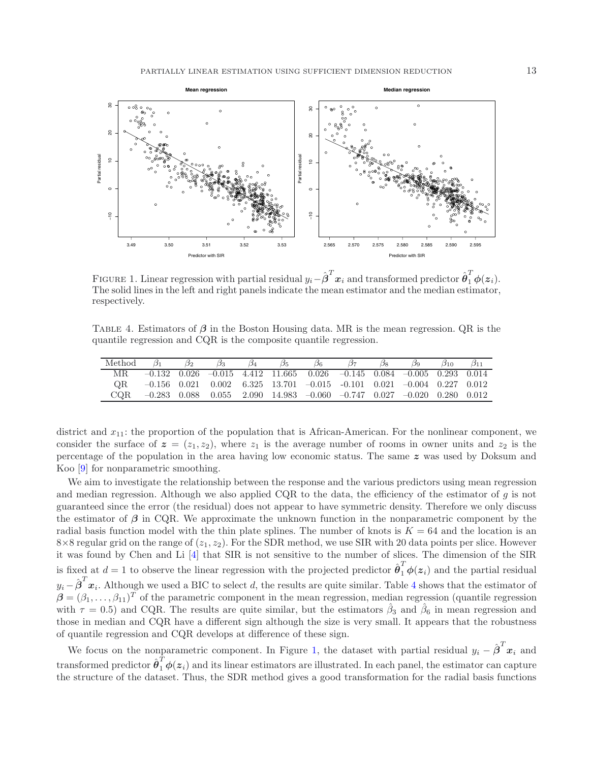<span id="page-12-1"></span>

<span id="page-12-0"></span>FIGURE 1. Linear regression with partial residual  $y_i - \hat{\boldsymbol{\beta}}^T \boldsymbol{x}_i$  and transformed predictor  $\hat{\boldsymbol{\theta}}_1^T \boldsymbol{\phi}(\boldsymbol{z}_i)$ . The solid lines in the left and right panels indicate the mean estimator and the median estimator, respectively.

Table 4. Estimators of *β* in the Boston Housing data. MR is the mean regression. QR is the quantile regression and CQR is the composite quantile regression.

| Method | $\frac{1}{2}$ | $\mathcal{O}_3$ |  | Ø6 |                                                                                              |  | $\sigma_{10}$ | $\mathcal{D}$ 11 |
|--------|---------------|-----------------|--|----|----------------------------------------------------------------------------------------------|--|---------------|------------------|
|        |               |                 |  |    | $-0.132$ $0.026$ $-0.015$ $4.412$ $11.665$ $0.026$ $-0.145$ $0.084$ $-0.005$ $0.293$ $0.014$ |  |               |                  |
| OR.    |               |                 |  |    | $-0.156$ $0.021$ $0.002$ $6.325$ $13.701$ $-0.015$ $-0.101$ $0.021$ $-0.004$ $0.227$ $0.012$ |  |               |                  |
| COR.   |               |                 |  |    | $-0.283$ 0.088 0.055 2.090 14.983 -0.060 -0.747 0.027 -0.020 0.280 0.012                     |  |               |                  |

district and  $x_{11}$ : the proportion of the population that is African-American. For the nonlinear component, we consider the surface of  $z = (z_1, z_2)$ , where  $z_1$  is the average number of rooms in owner units and  $z_2$  is the percentage of the population in the area having low economic status. The same *z* was used by Doksum and Koo [\[9\]](#page-16-35) for nonparametric smoothing.

We aim to investigate the relationship between the response and the various predictors using mean regression and median regression. Although we also applied CQR to the data, the efficiency of the estimator of  $q$  is not guaranteed since the error (the residual) does not appear to have symmetric density. Therefore we only discuss the estimator of *β* in CQR. We approximate the unknown function in the nonparametric component by the radial basis function model with the thin plate splines. The number of knots is  $K = 64$  and the location is an  $8\times 8$  regular grid on the range of  $(z_1, z_2)$ . For the SDR method, we use SIR with 20 data points per slice. However it was found by Chen and Li [\[4](#page-16-36)] that SIR is not sensitive to the number of slices. The dimension of the SIR is fixed at  $d = 1$  to observe the linear regression with the projected predictor  $\hat{\theta}_1^T \phi(z_i)$  and the partial residual  $y_i - \hat{\boldsymbol{\beta}}^T \boldsymbol{x}_i$ . Although we used a BIC to select d, the results are quite similar. Table [4](#page-12-0) shows that the estimator of  $\beta = (\beta_1, \ldots, \beta_{11})^T$  of the parametric component in the mean regression, median regression (quantile regression with  $\tau = 0.5$ ) and CQR. The results are quite similar, but the estimators  $\hat{\beta}_3$  and  $\hat{\beta}_6$  in mean regression and those in median and CQR have a different sign although the size is very small. It appears that the robustness of quantile regression and CQR develops at difference of these sign.

We focus on the nonparametric component. In Figure [1,](#page-12-1) the dataset with partial residual  $y_i - \hat{\boldsymbol{\beta}}^T \boldsymbol{x}_i$  and transformed predictor  $\hat{\theta}_1^{\hat{T}} \phi(z_i)$  and its linear estimators are illustrated. In each panel, the estimator can capture the structure of the dataset. Thus, the SDR method gives a good transformation for the radial basis functions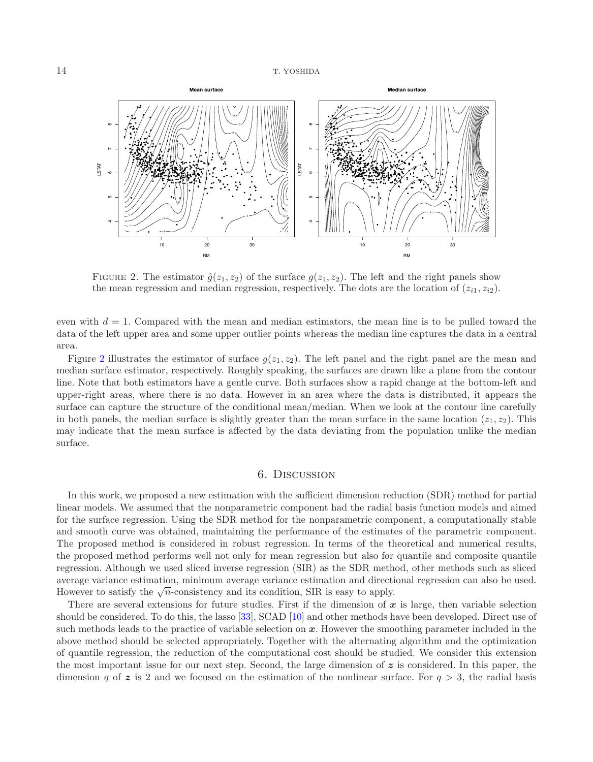<span id="page-13-0"></span>

FIGURE 2. The estimator  $\hat{g}(z_1, z_2)$  of the surface  $g(z_1, z_2)$ . The left and the right panels show the mean regression and median regression, respectively. The dots are the location of  $(z_{i1}, z_{i2})$ .

even with  $d = 1$ . Compared with the mean and median estimators, the mean line is to be pulled toward the data of the left upper area and some upper outlier points whereas the median line captures the data in a central area.

Figure [2](#page-13-0) illustrates the estimator of surface  $g(z_1, z_2)$ . The left panel and the right panel are the mean and median surface estimator, respectively. Roughly speaking, the surfaces are drawn like a plane from the contour line. Note that both estimators have a gentle curve. Both surfaces show a rapid change at the bottom-left and upper-right areas, where there is no data. However in an area where the data is distributed, it appears the surface can capture the structure of the conditional mean/median. When we look at the contour line carefully in both panels, the median surface is slightly greater than the mean surface in the same location  $(z_1, z_2)$ . This may indicate that the mean surface is affected by the data deviating from the population unlike the median surface.

## 6. Discussion

In this work, we proposed a new estimation with the sufficient dimension reduction (SDR) method for partial linear models. We assumed that the nonparametric component had the radial basis function models and aimed for the surface regression. Using the SDR method for the nonparametric component, a computationally stable and smooth curve was obtained, maintaining the performance of the estimates of the parametric component. The proposed method is considered in robust regression. In terms of the theoretical and numerical results, the proposed method performs well not only for mean regression but also for quantile and composite quantile regression. Although we used sliced inverse regression (SIR) as the SDR method, other methods such as sliced average variance estimation, minimum average variance estimation and directional regression can also be used. However to satisfy the  $\sqrt{n}$ -consistency and its condition, SIR is easy to apply.

There are several extensions for future studies. First if the dimension of  $x$  is large, then variable selection should be considered. To do this, the lasso [\[33\]](#page-16-37), SCAD [\[10\]](#page-16-38) and other methods have been developed. Direct use of such methods leads to the practice of variable selection on *x*. However the smoothing parameter included in the above method should be selected appropriately. Together with the alternating algorithm and the optimization of quantile regression, the reduction of the computational cost should be studied. We consider this extension the most important issue for our next step. Second, the large dimension of *z* is considered. In this paper, the dimension q of  $z$  is 2 and we focused on the estimation of the nonlinear surface. For  $q > 3$ , the radial basis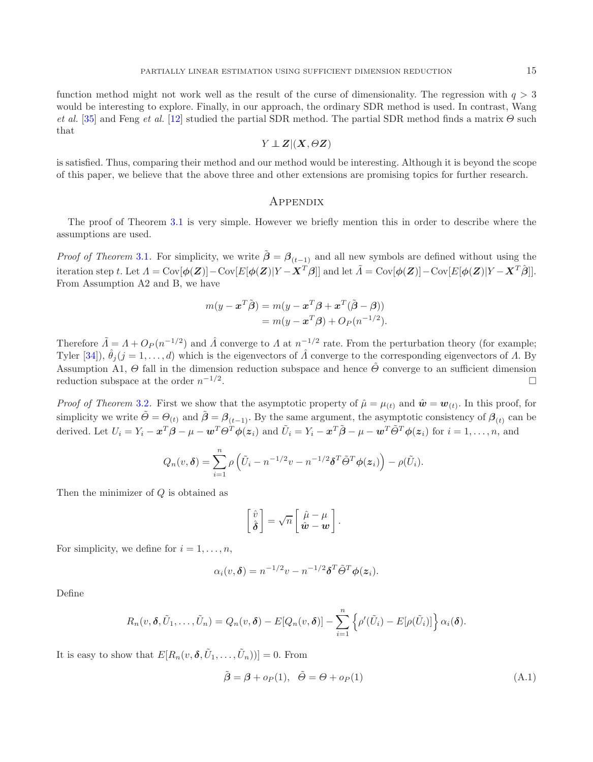function method might not work well as the result of the curse of dimensionality. The regression with  $q > 3$ would be interesting to explore. Finally, in our approach, the ordinary SDR method is used. In contrast, Wang *et al.* [\[35\]](#page-16-16) and Feng *et al.* [\[12](#page-16-17)] studied the partial SDR method. The partial SDR method finds a matrix  $\Theta$  such that

$$
Y \perp\!\!\!\perp Z | (X, \Theta Z)
$$

is satisfied. Thus, comparing their method and our method would be interesting. Although it is beyond the scope of this paper, we believe that the above three and other extensions are promising topics for further research.

## **APPENDIX**

The proof of Theorem [3.1](#page-5-0) is very simple. However we briefly mention this in order to describe where the assumptions are used.

*Proof of Theorem* [3.1](#page-5-0). For simplicity, we write  $\tilde{\beta} = \beta_{(t-1)}$  and all new symbols are defined without using the iteration step t. Let  $\Lambda = \text{Cov}[\phi(\mathbf{Z})] - \text{Cov}[E[\phi(\mathbf{Z})|Y - \mathbf{X}^T\hat{\boldsymbol{\beta}}]$  and let  $\tilde{\Lambda} = \text{Cov}[\phi(\mathbf{Z})] - \text{Cov}[E[\phi(\mathbf{Z})|Y - \mathbf{X}^T\hat{\boldsymbol{\beta}}]$ . From Assumption A2 and B, we have

$$
m(y - \boldsymbol{x}^T \tilde{\boldsymbol{\beta}}) = m(y - \boldsymbol{x}^T \boldsymbol{\beta} + \boldsymbol{x}^T (\tilde{\boldsymbol{\beta}} - \boldsymbol{\beta}))
$$
  
=  $m(y - \boldsymbol{x}^T \boldsymbol{\beta}) + O_P(n^{-1/2}).$ 

Therefore  $\tilde{\Lambda} = \Lambda + O_P(n^{-1/2})$  and  $\hat{\Lambda}$  converge to  $\Lambda$  at  $n^{-1/2}$  rate. From the perturbation theory (for example; Tyler [\[34](#page-16-39)]),  $\hat{\theta}_i (j = 1, \ldots, d)$  which is the eigenvectors of  $\hat{\Lambda}$  converge to the corresponding eigenvectors of  $\Lambda$ . By Assumption A1,  $\Theta$  fall in the dimension reduction subspace and hence  $\hat{\Theta}$  converge to an sufficient dimension reduction subspace at the order  $n^{-1/2}$ .  $\Box$ 

*Proof of Theorem* [3.2](#page-5-1). First we show that the asymptotic property of  $\hat{\mu} = \mu_{(t)}$  and  $\hat{\mathbf{w}} = \mathbf{w}_{(t)}$ . In this proof, for simplicity we write  $\tilde{\Theta} = \Theta_{(t)}$  and  $\tilde{\beta} = \beta_{(t-1)}$ . By the same argument, the asymptotic consistency of  $\beta_{(t)}$  can be derived. Let  $U_i = Y_i - x^T \beta - \mu - w^T \Theta^T \phi(z_i)$  and  $\tilde{U}_i = Y_i - x^T \tilde{\beta} - \mu - w^T \tilde{\Theta}^T \phi(z_i)$  for  $i = 1, \ldots, n$ , and

$$
Q_n(v,\boldsymbol{\delta}) = \sum_{i=1}^n \rho \left( \tilde{U}_i - n^{-1/2}v - n^{-1/2}\boldsymbol{\delta}^T\tilde{\boldsymbol{\Theta}}^T\boldsymbol{\phi}(\boldsymbol{z}_i) \right) - \rho(\tilde{U}_i).
$$

Then the minimizer of Q is obtained as

$$
\begin{bmatrix}\n\hat{v} \\
\hat{\boldsymbol{\delta}}\n\end{bmatrix} = \sqrt{n} \begin{bmatrix}\n\hat{\mu} - \mu \\
\hat{\boldsymbol{w}} - \boldsymbol{w}\n\end{bmatrix}.
$$

For simplicity, we define for  $i = 1, \ldots, n$ ,

$$
\alpha_i(v,\boldsymbol{\delta}) = n^{-1/2}v - n^{-1/2}\boldsymbol{\delta}^T\tilde{\Theta}^T\boldsymbol{\phi}(\boldsymbol{z}_i).
$$

Define

$$
R_n(v, \boldsymbol{\delta}, \tilde{U}_1, \ldots, \tilde{U}_n) = Q_n(v, \boldsymbol{\delta}) - E[Q_n(v, \boldsymbol{\delta})] - \sum_{i=1}^n \left\{ \rho'(\tilde{U}_i) - E[\rho(\tilde{U}_i)] \right\} \alpha_i(\boldsymbol{\delta}).
$$

It is easy to show that  $E[R_n(v, \delta, \tilde{U}_1, \ldots, \tilde{U}_n))] = 0$ . From

<span id="page-14-0"></span>
$$
\tilde{\boldsymbol{\beta}} = \boldsymbol{\beta} + o_P(1), \quad \tilde{\boldsymbol{\Theta}} = \boldsymbol{\Theta} + o_P(1) \tag{A.1}
$$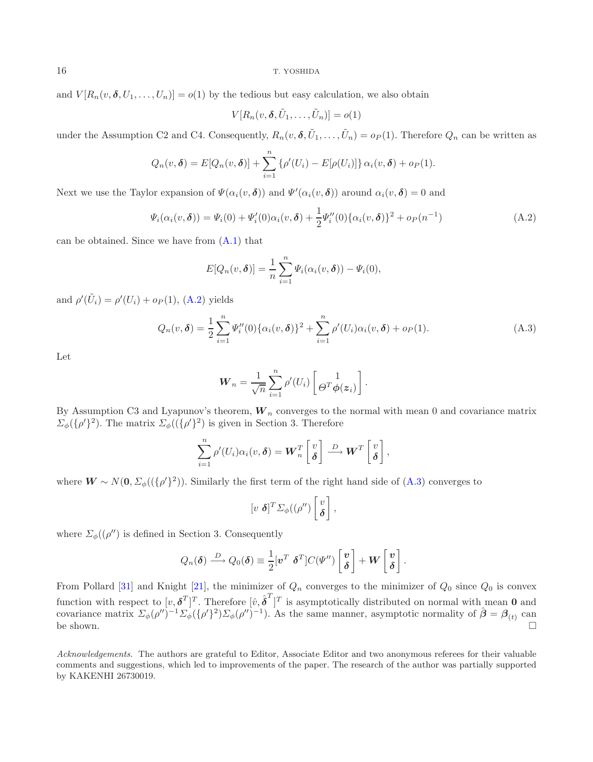and  $V[R_n(v, \delta, U_1, \ldots, U_n)] = o(1)$  by the tedious but easy calculation, we also obtain

$$
V[R_n(v, \boldsymbol{\delta}, \tilde{U}_1, \dots, \tilde{U}_n)] = o(1)
$$

under the Assumption C2 and C4. Consequently,  $R_n(v, \delta, \tilde{U}_1, \ldots, \tilde{U}_n) = o_P(1)$ . Therefore  $Q_n$  can be written as

$$
Q_n(v,\boldsymbol{\delta}) = E[Q_n(v,\boldsymbol{\delta})] + \sum_{i=1}^n \{ \rho'(U_i) - E[\rho(U_i)] \} \alpha_i(v,\boldsymbol{\delta}) + o_P(1).
$$

<span id="page-15-0"></span>Next we use the Taylor expansion of  $\Psi(\alpha_i(v, \delta))$  and  $\Psi'(\alpha_i(v, \delta))$  around  $\alpha_i(v, \delta) = 0$  and

$$
\Psi_i(\alpha_i(v,\delta)) = \Psi_i(0) + \Psi'_i(0)\alpha_i(v,\delta) + \frac{1}{2}\Psi''_i(0)\{\alpha_i(v,\delta)\}^2 + o_P(n^{-1})
$$
\n(A.2)

can be obtained. Since we have from [\(A.1\)](#page-14-0) that

$$
E[Q_n(v,\boldsymbol{\delta})] = \frac{1}{n} \sum_{i=1}^n \Psi_i(\alpha_i(v,\boldsymbol{\delta})) - \Psi_i(0),
$$

<span id="page-15-1"></span>and  $\rho'(\tilde{U}_i) = \rho'(U_i) + o_P(1)$ , [\(A.2\)](#page-15-0) yields

$$
Q_n(v,\delta) = \frac{1}{2} \sum_{i=1}^n \Psi_i''(0) \{ \alpha_i(v,\delta) \}^2 + \sum_{i=1}^n \rho'(U_i) \alpha_i(v,\delta) + o_P(1).
$$
 (A.3)

Let

$$
\boldsymbol{W}_n = \frac{1}{\sqrt{n}} \sum_{i=1}^n \rho'(U_i) \left[ \Theta^T \boldsymbol{\phi}(\boldsymbol{z}_i) \right].
$$

By Assumption C3 and Lyapunov's theorem,  $W_n$  converges to the normal with mean 0 and covariance matrix  $\Sigma_{\phi}(\{\rho'\}^2)$ . The matrix  $\Sigma_{\phi}((\{\rho'\}^2)$  is given in Section 3. Therefore

$$
\sum_{i=1}^n \rho'(U_i)\alpha_i(v,\boldsymbol{\delta}) = \boldsymbol{W}_n^T \begin{bmatrix} v \\ \boldsymbol{\delta} \end{bmatrix} \stackrel{D}{\longrightarrow} \boldsymbol{W}^T \begin{bmatrix} v \\ \boldsymbol{\delta} \end{bmatrix},
$$

where  $W \sim N(0, \Sigma_{\phi}((\{\rho'\}^2))$ . Similarly the first term of the right hand side of  $(A.3)$  converges to

$$
[v \; \boldsymbol{\delta}]^T \Sigma_{\phi}((\rho'')\begin{bmatrix} v \\ \boldsymbol{\delta} \end{bmatrix},
$$

where  $\Sigma_{\phi}((\rho'')$  is defined in Section 3. Consequently

$$
Q_n(\boldsymbol{\delta}) \stackrel{D}{\longrightarrow} Q_0(\boldsymbol{\delta}) \equiv \frac{1}{2} [\boldsymbol{v}^T \ \boldsymbol{\delta}^T] C(\boldsymbol{\varPsi}'') \begin{bmatrix} \boldsymbol{v} \\ \boldsymbol{\delta} \end{bmatrix} + \boldsymbol{W} \begin{bmatrix} \boldsymbol{v} \\ \boldsymbol{\delta} \end{bmatrix}.
$$

From Pollard [\[31](#page-16-40)] and Knight [\[21\]](#page-16-41), the minimizer of  $Q_n$  converges to the minimizer of  $Q_0$  since  $Q_0$  is convex function with respect to  $[v, \delta^T]^T$ . Therefore  $[\hat{v}, \hat{\delta}^T]^T$  is asymptotically distributed on normal with mean **0** and covariance matrix  $\Sigma_{\phi}(\rho'')^{-1}\Sigma_{\phi}(\{\rho'\})2)\Sigma_{\phi}(\rho'')^{-1}$ . As the same manner, asymptotic normality of  $\hat{\boldsymbol{\beta}} = \boldsymbol{\beta}_{(t)}$  can be shown.  $\square$ 

*Acknowledgements.* The authors are grateful to Editor, Associate Editor and two anonymous referees for their valuable comments and suggestions, which led to improvements of the paper. The research of the author was partially supported by KAKENHI 26730019.